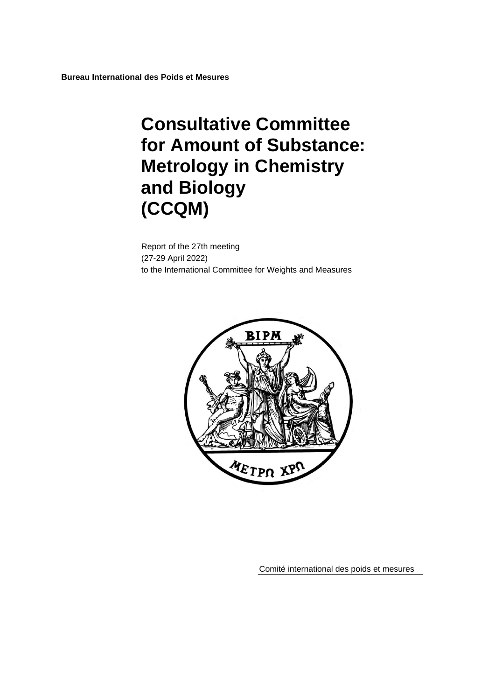# **Consultative Committee for Amount of Substance: Metrology in Chemistry and Biology (CCQM)**

Report of the 27th meeting (27-29 April 2022) to the International Committee for Weights and Measures



Comité international des poids et mesures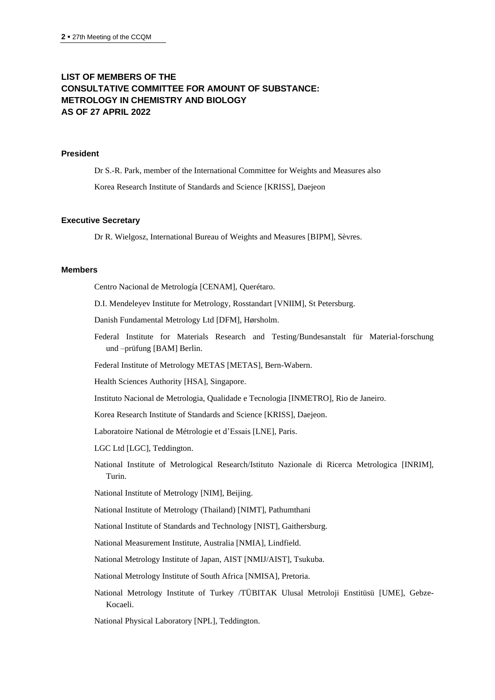# **LIST OF MEMBERS OF THE CONSULTATIVE COMMITTEE FOR AMOUNT OF SUBSTANCE: METROLOGY IN CHEMISTRY AND BIOLOGY AS OF 27 APRIL 2022**

## **President**

Dr S.-R. Park, member of the International Committee for Weights and Measures also Korea Research Institute of Standards and Science [KRISS], Daejeon

#### **Executive Secretary**

Dr R. Wielgosz, International Bureau of Weights and Measures [BIPM], Sèvres.

#### **Members**

Centro Nacional de Metrología [CENAM], Querétaro.

D.I. Mendeleyev Institute for Metrology, Rosstandart [VNIIM], St Petersburg.

Danish Fundamental Metrology Ltd [DFM], Hørsholm.

Federal Institute for Materials Research and Testing/Bundesanstalt für Material-forschung und –prüfung [BAM] Berlin.

Federal Institute of Metrology METAS [METAS], Bern-Wabern.

Health Sciences Authority [HSA], Singapore.

Instituto Nacional de Metrologia, Qualidade e Tecnologia [INMETRO], Rio de Janeiro.

Korea Research Institute of Standards and Science [KRISS], Daejeon.

Laboratoire National de Métrologie et d'Essais [LNE], Paris.

LGC Ltd [LGC], Teddington.

National Institute of Metrological Research/Istituto Nazionale di Ricerca Metrologica [INRIM], Turin.

National Institute of Metrology [NIM], Beijing.

National Institute of Metrology (Thailand) [NIMT], Pathumthani

National Institute of Standards and Technology [NIST], Gaithersburg.

National Measurement Institute, Australia [NMIA], Lindfield.

National Metrology Institute of Japan, AIST [NMIJ/AIST], Tsukuba.

National Metrology Institute of South Africa [NMISA], Pretoria.

National Metrology Institute of Turkey /TÜBITAK Ulusal Metroloji Enstitüsü [UME], Gebze-Kocaeli.

National Physical Laboratory [NPL], Teddington.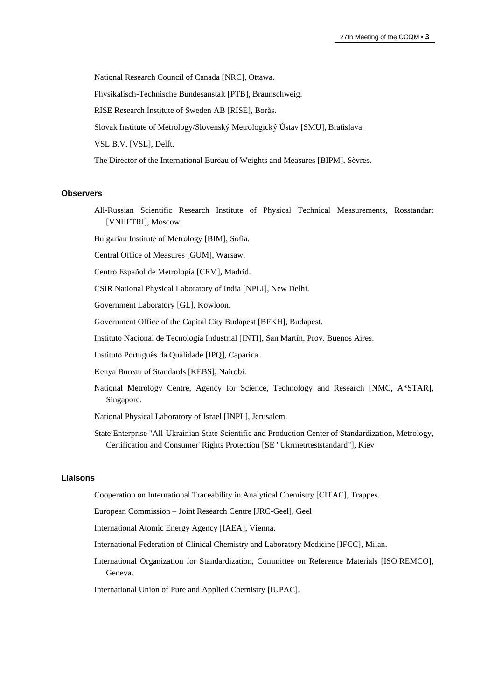National Research Council of Canada [NRC], Ottawa.

Physikalisch-Technische Bundesanstalt [PTB], Braunschweig.

RISE Research Institute of Sweden AB [RISE], Borås.

Slovak Institute of Metrology/Slovenský Metrologický Ústav [SMU], Bratislava.

VSL B.V. [VSL], Delft.

The Director of the International Bureau of Weights and Measures [BIPM], Sèvres.

#### **Observers**

All-Russian Scientific Research Institute of Physical Technical Measurements, Rosstandart [\[VNIIFTRI\]](http://www.vniiftri.ru/), Moscow.

Bulgarian Institute of Metrology [BIM], Sofia.

Central Office of Measures [GUM], Warsaw.

Centro Español de Metrología [CEM], Madrid.

CSIR National Physical Laboratory of India [NPLI], New Delhi.

Government Laboratory [GL], Kowloon.

Government Office of the Capital City Budapest [BFKH], Budapest.

Instituto Nacional de Tecnología Industrial [\[INTI\]](http://www.inti.gob.ar/), San Martín, Prov. Buenos Aires.

Instituto Português da Qualidade [IPQ], Caparica.

Kenya Bureau of Standards [KEBS], Nairobi.

National Metrology Centre, Agency for Science, Technology and Research [NMC, A\*STAR], Singapore.

National Physical Laboratory of Israel [INPL], Jerusalem.

State Enterprise "All-Ukrainian State Scientific and Production Center of Standardization, Metrology, Certification and Consumer' Rights Protection [\[SE "Ukrmetrteststandard"\]](http://www.ukrcsm.kiev.ua/), Kiev

#### **Liaisons**

Cooperation on International Traceability in Analytical Chemistry [CITAC], Trappes.

European Commission – Joint Research Centre [JRC-Geel], Geel

International Atomic Energy Agency [IAEA], Vienna.

- International Federation of Clinical Chemistry and Laboratory Medicine [IFCC], Milan.
- International Organization for Standardization, Committee on Reference Materials [ISO REMCO], Geneva.

International Union of Pure and Applied Chemistry [IUPAC].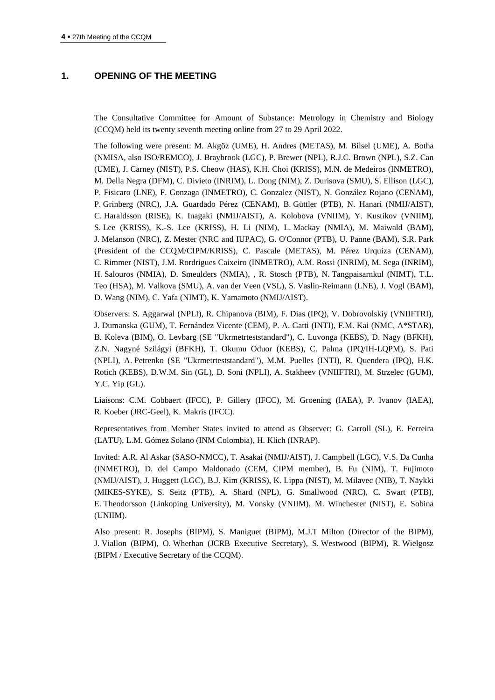## **1. OPENING OF THE MEETING**

The Consultative Committee for Amount of Substance: Metrology in Chemistry and Biology (CCQM) held its twenty seventh meeting online from 27 to 29 April 2022.

The following were present: M. Akgöz (UME), H. Andres (METAS), M. Bilsel (UME), A. Botha (NMISA, also ISO/REMCO), J. Braybrook (LGC), P. Brewer (NPL), R.J.C. Brown (NPL), S.Z. Can (UME), J. Carney (NIST), P.S. Cheow (HAS), K.H. Choi (KRISS), M.N. de Medeiros (INMETRO), M. Della Negra (DFM), C. Divieto (INRIM), L. Dong (NIM), Z. Durisova (SMU), S. Ellison (LGC), P. Fisicaro (LNE), F. Gonzaga (INMETRO), C. Gonzalez (NIST), N. González Rojano (CENAM), P. Grinberg (NRC), J.A. Guardado Pérez (CENAM), B. Güttler (PTB), N. Hanari (NMIJ/AIST), C. Haraldsson (RISE), K. Inagaki (NMIJ/AIST), A. Kolobova (VNIIM), Y. Kustikov (VNIIM), S. Lee (KRISS), K.-S. Lee (KRISS), H. Li (NIM), L. Mackay (NMIA), M. Maiwald (BAM), J. Melanson (NRC), Z. Mester (NRC and IUPAC), G. O'Connor (PTB), U. Panne (BAM), S.R. Park (President of the CCQM/CIPM/KRISS), C. Pascale (METAS), M. Pérez Urquiza (CENAM), C. Rimmer (NIST), J.M. Rordrigues Caixeiro (INMETRO), A.M. Rossi (INRIM), M. Sega (INRIM), H. Salouros (NMIA), D. Smeulders (NMIA), , R. Stosch (PTB), N. Tangpaisarnkul (NIMT), T.L. Teo (HSA), M. Valkova (SMU), A. van der Veen (VSL), S. Vaslin-Reimann (LNE), J. Vogl (BAM), D. Wang (NIM), C. Yafa (NIMT), K. Yamamoto (NMIJ/AIST).

Observers: S. Aggarwal (NPLI), R. Chipanova (BIM), F. Dias (IPQ), V. Dobrovolskiy (VNIIFTRI), J. Dumanska (GUM), T. Fernández Vicente (CEM), P. A. Gatti (INTI), F.M. Kai (NMC, A\*STAR), B. Koleva (BIM), O. Levbarg (SE "Ukrmetrteststandard"), C. Luvonga (KEBS), D. Nagy (BFKH), Z.N. Nagyné Szilágyi (BFKH), T. Okumu Oduor (KEBS), C. Palma (IPQ/IH-LQPM), S. Pati (NPLI), A. Petrenko (SE "Ukrmetrteststandard"), M.M. Puelles (INTI), R. Quendera (IPQ), H.K. Rotich (KEBS), D.W.M. Sin (GL), D. Soni (NPLI), A. Stakheev (VNIIFTRI), M. Strzelec (GUM), Y.C. Yip (GL).

Liaisons: C.M. Cobbaert (IFCC), P. Gillery (IFCC), M. Groening (IAEA), P. Ivanov (IAEA), R. Koeber (JRC-Geel), K. Makris (IFCC).

Representatives from Member States invited to attend as Observer: G. Carroll (SL), E. Ferreira (LATU), L.M. Gómez Solano (INM Colombia), H. Klich (INRAP).

Invited: A.R. Al Askar (SASO-NMCC), T. Asakai (NMIJ/AIST), J. Campbell (LGC), V.S. Da Cunha (INMETRO), D. del Campo Maldonado (CEM, CIPM member), B. Fu (NIM), T. Fujimoto (NMIJ/AIST), J. Huggett (LGC), B.J. Kim (KRISS), K. Lippa (NIST), M. Milavec (NIB), T. Näykki (MIKES-SYKE), S. Seitz (PTB), A. Shard (NPL), G. Smallwood (NRC), C. Swart (PTB), E. Theodorsson (Linkoping University), M. Vonsky (VNIIM), M. Winchester (NIST), E. Sobina (UNIIM).

Also present: R. Josephs (BIPM), S. Maniguet (BIPM), M.J.T Milton (Director of the BIPM), J. Viallon (BIPM), O. Wherhan (JCRB Executive Secretary), S. Westwood (BIPM), R. Wielgosz (BIPM / Executive Secretary of the CCQM).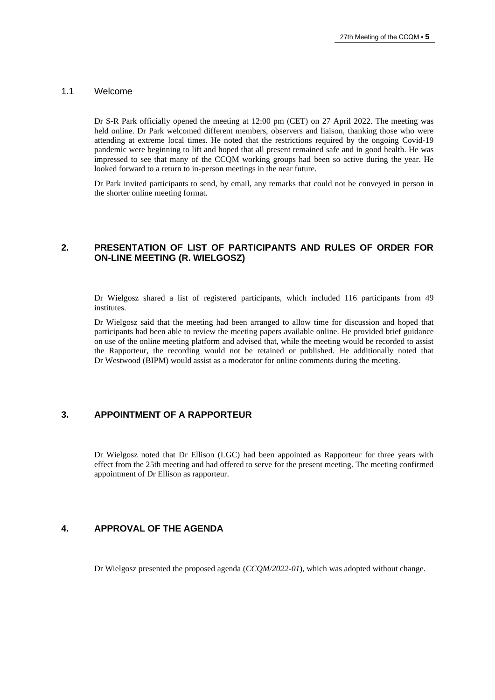#### 1.1 Welcome

Dr S-R Park officially opened the meeting at 12:00 pm (CET) on 27 April 2022. The meeting was held online. Dr Park welcomed different members, observers and liaison, thanking those who were attending at extreme local times. He noted that the restrictions required by the ongoing Covid-19 pandemic were beginning to lift and hoped that all present remained safe and in good health. He was impressed to see that many of the CCQM working groups had been so active during the year. He looked forward to a return to in-person meetings in the near future.

Dr Park invited participants to send, by email, any remarks that could not be conveyed in person in the shorter online meeting format.

## **2. PRESENTATION OF LIST OF PARTICIPANTS AND RULES OF ORDER FOR ON-LINE MEETING (R. WIELGOSZ)**

Dr Wielgosz shared a list of registered participants, which included 116 participants from 49 institutes.

Dr Wielgosz said that the meeting had been arranged to allow time for discussion and hoped that participants had been able to review the meeting papers available online. He provided brief guidance on use of the online meeting platform and advised that, while the meeting would be recorded to assist the Rapporteur, the recording would not be retained or published. He additionally noted that Dr Westwood (BIPM) would assist as a moderator for online comments during the meeting.

# **3. APPOINTMENT OF A RAPPORTEUR**

Dr Wielgosz noted that Dr Ellison (LGC) had been appointed as Rapporteur for three years with effect from the 25th meeting and had offered to serve for the present meeting. The meeting confirmed appointment of Dr Ellison as rapporteur.

## **4. APPROVAL OF THE AGENDA**

Dr Wielgosz presented the proposed agenda (*CCQM/2022-01*), which was adopted without change.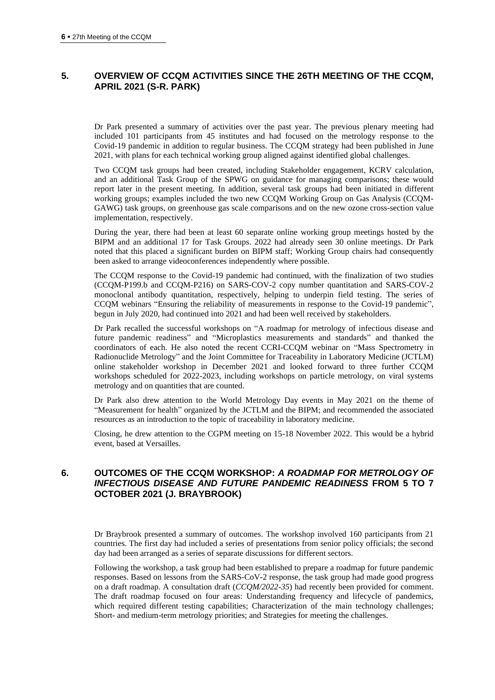# **5. OVERVIEW OF CCQM ACTIVITIES SINCE THE 26TH MEETING OF THE CCQM, APRIL 2021 (S-R. PARK)**

Dr Park presented a summary of activities over the past year. The previous plenary meeting had included 101 participants from 45 institutes and had focused on the metrology response to the Covid-19 pandemic in addition to regular business. The CCQM strategy had been published in June 2021, with plans for each technical working group aligned against identified global challenges.

Two CCQM task groups had been created, including Stakeholder engagement, KCRV calculation, and an additional Task Group of the SPWG on guidance for managing comparisons; these would report later in the present meeting. In addition, several task groups had been initiated in different working groups; examples included the two new CCQM Working Group on Gas Analysis (CCQM-GAWG) task groups, on greenhouse gas scale comparisons and on the new ozone cross-section value implementation, respectively.

During the year, there had been at least 60 separate online working group meetings hosted by the BIPM and an additional 17 for Task Groups. 2022 had already seen 30 online meetings. Dr Park noted that this placed a significant burden on BIPM staff; Working Group chairs had consequently been asked to arrange videoconferences independently where possible.

The CCQM response to the Covid-19 pandemic had continued, with the finalization of two studies (CCQM-P199.b and CCQM-P216) on SARS-COV-2 copy number quantitation and SARS-COV-2 monoclonal antibody quantitation, respectively, helping to underpin field testing. The series of CCQM webinars "Ensuring the reliability of measurements in response to the Covid-19 pandemic", begun in July 2020, had continued into 2021 and had been well received by stakeholders.

Dr Park recalled the successful workshops on "A roadmap for metrology of infectious disease and future pandemic readiness" and "Microplastics measurements and standards" and thanked the coordinators of each. He also noted the recent CCRI-CCQM webinar on "Mass Spectrometry in Radionuclide Metrology" and the Joint Committee for Traceability in Laboratory Medicine (JCTLM) online stakeholder workshop in December 2021 and looked forward to three further CCQM workshops scheduled for 2022-2023, including workshops on particle metrology, on viral systems metrology and on quantities that are counted.

Dr Park also drew attention to the World Metrology Day events in May 2021 on the theme of "Measurement for health" organized by the JCTLM and the BIPM; and recommended the associated resources as an introduction to the topic of traceability in laboratory medicine.

Closing, he drew attention to the CGPM meeting on 15-18 November 2022. This would be a hybrid event, based at Versailles.

# **6. OUTCOMES OF THE CCQM WORKSHOP:** *A ROADMAP FOR METROLOGY OF INFECTIOUS DISEASE AND FUTURE PANDEMIC READINESS* **FROM 5 TO 7 OCTOBER 2021 (J. BRAYBROOK)**

Dr Braybrook presented a summary of outcomes. The workshop involved 160 participants from 21 countries. The first day had included a series of presentations from senior policy officials; the second day had been arranged as a series of separate discussions for different sectors.

Following the workshop, a task group had been established to prepare a roadmap for future pandemic responses. Based on lessons from the SARS-CoV-2 response, the task group had made good progress on a draft roadmap. A consultation draft (*CCQM/2022-35*) had recently been provided for comment. The draft roadmap focused on four areas: Understanding frequency and lifecycle of pandemics, which required different testing capabilities; Characterization of the main technology challenges; Short- and medium-term metrology priorities; and Strategies for meeting the challenges.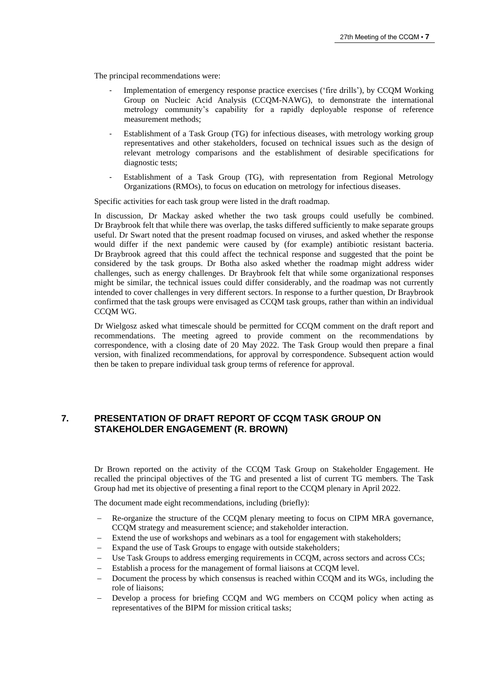The principal recommendations were:

- Implementation of emergency response practice exercises ('fire drills'), by CCQM Working Group on Nucleic Acid Analysis (CCQM-NAWG), to demonstrate the international metrology community's capability for a rapidly deployable response of reference measurement methods;
- Establishment of a Task Group (TG) for infectious diseases, with metrology working group representatives and other stakeholders, focused on technical issues such as the design of relevant metrology comparisons and the establishment of desirable specifications for diagnostic tests;
- Establishment of a Task Group (TG), with representation from Regional Metrology Organizations (RMOs), to focus on education on metrology for infectious diseases.

Specific activities for each task group were listed in the draft roadmap.

In discussion, Dr Mackay asked whether the two task groups could usefully be combined. Dr Braybrook felt that while there was overlap, the tasks differed sufficiently to make separate groups useful. Dr Swart noted that the present roadmap focused on viruses, and asked whether the response would differ if the next pandemic were caused by (for example) antibiotic resistant bacteria. Dr Braybrook agreed that this could affect the technical response and suggested that the point be considered by the task groups. Dr Botha also asked whether the roadmap might address wider challenges, such as energy challenges. Dr Braybrook felt that while some organizational responses might be similar, the technical issues could differ considerably, and the roadmap was not currently intended to cover challenges in very different sectors. In response to a further question, Dr Braybrook confirmed that the task groups were envisaged as CCQM task groups, rather than within an individual CCQM WG.

Dr Wielgosz asked what timescale should be permitted for CCQM comment on the draft report and recommendations. The meeting agreed to provide comment on the recommendations by correspondence, with a closing date of 20 May 2022. The Task Group would then prepare a final version, with finalized recommendations, for approval by correspondence. Subsequent action would then be taken to prepare individual task group terms of reference for approval.

## **7. PRESENTATION OF DRAFT REPORT OF CCQM TASK GROUP ON STAKEHOLDER ENGAGEMENT (R. BROWN)**

Dr Brown reported on the activity of the CCQM Task Group on Stakeholder Engagement. He recalled the principal objectives of the TG and presented a list of current TG members. The Task Group had met its objective of presenting a final report to the CCQM plenary in April 2022.

The document made eight recommendations, including (briefly):

- Re-organize the structure of the CCQM plenary meeting to focus on CIPM MRA governance, CCQM strategy and measurement science; and stakeholder interaction.
- Extend the use of workshops and webinars as a tool for engagement with stakeholders;
- Expand the use of Task Groups to engage with outside stakeholders;
- Use Task Groups to address emerging requirements in CCQM, across sectors and across CCs;
- Establish a process for the management of formal liaisons at CCQM level.
- Document the process by which consensus is reached within CCOM and its WGs, including the role of liaisons;
- Develop a process for briefing CCQM and WG members on CCQM policy when acting as representatives of the BIPM for mission critical tasks;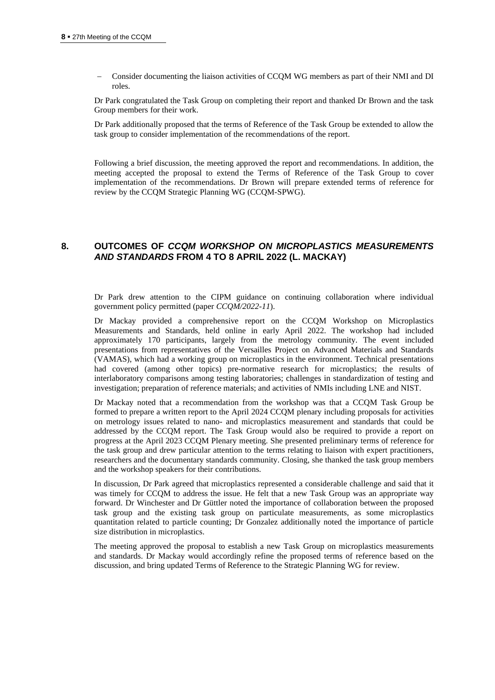− Consider documenting the liaison activities of CCQM WG members as part of their NMI and DI roles.

Dr Park congratulated the Task Group on completing their report and thanked Dr Brown and the task Group members for their work.

Dr Park additionally proposed that the terms of Reference of the Task Group be extended to allow the task group to consider implementation of the recommendations of the report.

Following a brief discussion, the meeting approved the report and recommendations. In addition, the meeting accepted the proposal to extend the Terms of Reference of the Task Group to cover implementation of the recommendations. Dr Brown will prepare extended terms of reference for review by the CCQM Strategic Planning WG (CCQM-SPWG).

## **8. OUTCOMES OF** *CCQM WORKSHOP ON MICROPLASTICS MEASUREMENTS AND STANDARDS* **FROM 4 TO 8 APRIL 2022 (L. MACKAY)**

Dr Park drew attention to the CIPM guidance on continuing collaboration where individual government policy permitted (paper *CCQM/2022-11*).

Dr Mackay provided a comprehensive report on the CCQM Workshop on Microplastics Measurements and Standards, held online in early April 2022. The workshop had included approximately 170 participants, largely from the metrology community. The event included presentations from representatives of the Versailles Project on Advanced Materials and Standards (VAMAS), which had a working group on microplastics in the environment. Technical presentations had covered (among other topics) pre-normative research for microplastics; the results of interlaboratory comparisons among testing laboratories; challenges in standardization of testing and investigation; preparation of reference materials; and activities of NMIs including LNE and NIST.

Dr Mackay noted that a recommendation from the workshop was that a CCQM Task Group be formed to prepare a written report to the April 2024 CCQM plenary including proposals for activities on metrology issues related to nano- and microplastics measurement and standards that could be addressed by the CCQM report. The Task Group would also be required to provide a report on progress at the April 2023 CCQM Plenary meeting. She presented preliminary terms of reference for the task group and drew particular attention to the terms relating to liaison with expert practitioners, researchers and the documentary standards community. Closing, she thanked the task group members and the workshop speakers for their contributions.

In discussion, Dr Park agreed that microplastics represented a considerable challenge and said that it was timely for CCQM to address the issue. He felt that a new Task Group was an appropriate way forward. Dr Winchester and Dr Güttler noted the importance of collaboration between the proposed task group and the existing task group on particulate measurements, as some microplastics quantitation related to particle counting; Dr Gonzalez additionally noted the importance of particle size distribution in microplastics.

The meeting approved the proposal to establish a new Task Group on microplastics measurements and standards. Dr Mackay would accordingly refine the proposed terms of reference based on the discussion, and bring updated Terms of Reference to the Strategic Planning WG for review.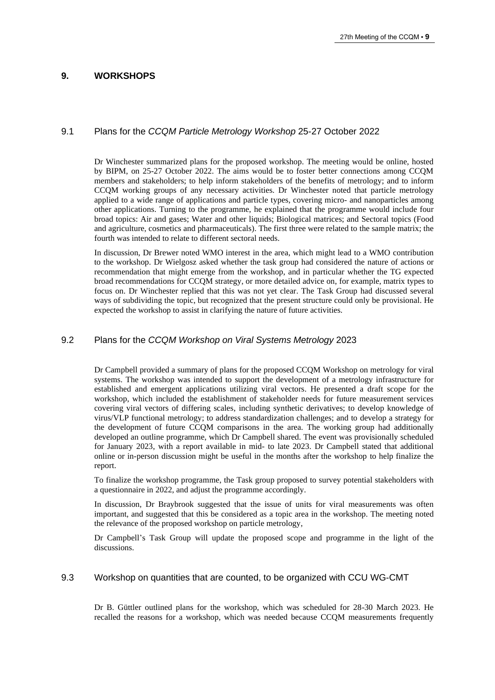## **9. WORKSHOPS**

## 9.1 Plans for the *CCQM Particle Metrology Workshop* 25-27 October 2022

Dr Winchester summarized plans for the proposed workshop. The meeting would be online, hosted by BIPM, on 25-27 October 2022. The aims would be to foster better connections among CCQM members and stakeholders; to help inform stakeholders of the benefits of metrology; and to inform CCQM working groups of any necessary activities. Dr Winchester noted that particle metrology applied to a wide range of applications and particle types, covering micro- and nanoparticles among other applications. Turning to the programme, he explained that the programme would include four broad topics: Air and gases; Water and other liquids; Biological matrices; and Sectoral topics (Food and agriculture, cosmetics and pharmaceuticals). The first three were related to the sample matrix; the fourth was intended to relate to different sectoral needs.

In discussion, Dr Brewer noted WMO interest in the area, which might lead to a WMO contribution to the workshop. Dr Wielgosz asked whether the task group had considered the nature of actions or recommendation that might emerge from the workshop, and in particular whether the TG expected broad recommendations for CCQM strategy, or more detailed advice on, for example, matrix types to focus on. Dr Winchester replied that this was not yet clear. The Task Group had discussed several ways of subdividing the topic, but recognized that the present structure could only be provisional. He expected the workshop to assist in clarifying the nature of future activities.

## 9.2 Plans for the *CCQM Workshop on Viral Systems Metrology* 2023

Dr Campbell provided a summary of plans for the proposed CCQM Workshop on metrology for viral systems. The workshop was intended to support the development of a metrology infrastructure for established and emergent applications utilizing viral vectors. He presented a draft scope for the workshop, which included the establishment of stakeholder needs for future measurement services covering viral vectors of differing scales, including synthetic derivatives; to develop knowledge of virus/VLP functional metrology; to address standardization challenges; and to develop a strategy for the development of future CCQM comparisons in the area. The working group had additionally developed an outline programme, which Dr Campbell shared. The event was provisionally scheduled for January 2023, with a report available in mid- to late 2023. Dr Campbell stated that additional online or in-person discussion might be useful in the months after the workshop to help finalize the report.

To finalize the workshop programme, the Task group proposed to survey potential stakeholders with a questionnaire in 2022, and adjust the programme accordingly.

In discussion, Dr Braybrook suggested that the issue of units for viral measurements was often important, and suggested that this be considered as a topic area in the workshop. The meeting noted the relevance of the proposed workshop on particle metrology,

Dr Campbell's Task Group will update the proposed scope and programme in the light of the discussions.

## 9.3 Workshop on quantities that are counted, to be organized with CCU WG-CMT

Dr B. Güttler outlined plans for the workshop, which was scheduled for 28-30 March 2023. He recalled the reasons for a workshop, which was needed because CCQM measurements frequently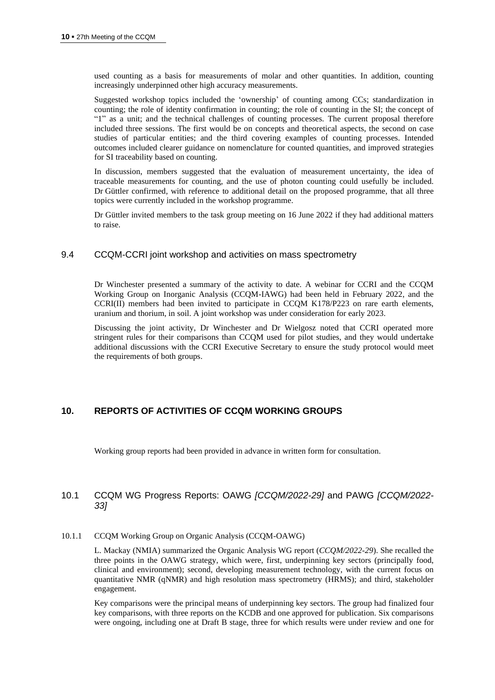used counting as a basis for measurements of molar and other quantities. In addition, counting increasingly underpinned other high accuracy measurements.

Suggested workshop topics included the 'ownership' of counting among CCs; standardization in counting; the role of identity confirmation in counting; the role of counting in the SI; the concept of "1" as a unit; and the technical challenges of counting processes. The current proposal therefore included three sessions. The first would be on concepts and theoretical aspects, the second on case studies of particular entities; and the third covering examples of counting processes. Intended outcomes included clearer guidance on nomenclature for counted quantities, and improved strategies for SI traceability based on counting.

In discussion, members suggested that the evaluation of measurement uncertainty, the idea of traceable measurements for counting, and the use of photon counting could usefully be included. Dr Güttler confirmed, with reference to additional detail on the proposed programme, that all three topics were currently included in the workshop programme.

<span id="page-9-0"></span>Dr Güttler invited members to the task group meeting on 16 June 2022 if they had additional matters to raise.

## 9.4 CCQM-CCRI joint workshop and activities on mass spectrometry

Dr Winchester presented a summary of the activity to date. A webinar for CCRI and the CCQM Working Group on Inorganic Analysis (CCQM-IAWG) had been held in February 2022, and the CCRI(II) members had been invited to participate in CCQM K178/P223 on rare earth elements, uranium and thorium, in soil. A joint workshop was under consideration for early 2023.

Discussing the joint activity, Dr Winchester and Dr Wielgosz noted that CCRI operated more stringent rules for their comparisons than CCQM used for pilot studies, and they would undertake additional discussions with the CCRI Executive Secretary to ensure the study protocol would meet the requirements of both groups.

## **10. REPORTS OF ACTIVITIES OF CCQM WORKING GROUPS**

Working group reports had been provided in advance in written form for consultation.

# 10.1 CCQM WG Progress Reports: OAWG *[CCQM/2022-29]* and PAWG *[CCQM/2022- 33]*

#### 10.1.1 CCQM Working Group on Organic Analysis (CCQM-OAWG)

L. Mackay (NMIA) summarized the Organic Analysis WG report (*CCQM/2022-29*). She recalled the three points in the OAWG strategy, which were, first, underpinning key sectors (principally food, clinical and environment); second, developing measurement technology, with the current focus on quantitative NMR (qNMR) and high resolution mass spectrometry (HRMS); and third, stakeholder engagement.

Key comparisons were the principal means of underpinning key sectors. The group had finalized four key comparisons, with three reports on the KCDB and one approved for publication. Six comparisons were ongoing, including one at Draft B stage, three for which results were under review and one for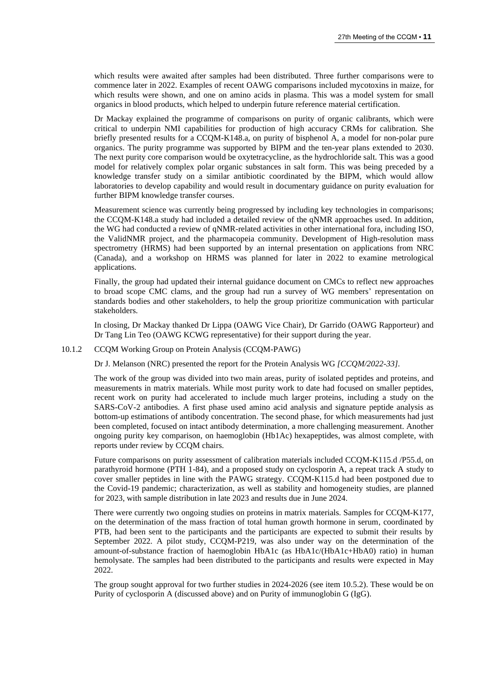which results were awaited after samples had been distributed. Three further comparisons were to commence later in 2022. Examples of recent OAWG comparisons included mycotoxins in maize, for which results were shown, and one on amino acids in plasma. This was a model system for small organics in blood products, which helped to underpin future reference material certification.

Dr Mackay explained the programme of comparisons on purity of organic calibrants, which were critical to underpin NMI capabilities for production of high accuracy CRMs for calibration. She briefly presented results for a CCQM-K148.a, on purity of bisphenol A, a model for non-polar pure organics. The purity programme was supported by BIPM and the ten-year plans extended to 2030. The next purity core comparison would be oxytetracycline, as the hydrochloride salt. This was a good model for relatively complex polar organic substances in salt form. This was being preceded by a knowledge transfer study on a similar antibiotic coordinated by the BIPM, which would allow laboratories to develop capability and would result in documentary guidance on purity evaluation for further BIPM knowledge transfer courses.

Measurement science was currently being progressed by including key technologies in comparisons; the CCQM-K148.a study had included a detailed review of the qNMR approaches used. In addition, the WG had conducted a review of qNMR-related activities in other international fora, including ISO, the ValidNMR project, and the pharmacopeia community. Development of High-resolution mass spectrometry (HRMS) had been supported by an internal presentation on applications from NRC (Canada), and a workshop on HRMS was planned for later in 2022 to examine metrological applications.

Finally, the group had updated their internal guidance document on CMCs to reflect new approaches to broad scope CMC clams, and the group had run a survey of WG members' representation on standards bodies and other stakeholders, to help the group prioritize communication with particular stakeholders.

In closing, Dr Mackay thanked Dr Lippa (OAWG Vice Chair), Dr Garrido (OAWG Rapporteur) and Dr Tang Lin Teo (OAWG KCWG representative) for their support during the year.

#### 10.1.2 CCQM Working Group on Protein Analysis (CCQM-PAWG)

Dr J. Melanson (NRC) presented the report for the Protein Analysis WG *[CCQM/2022-33]*.

The work of the group was divided into two main areas, purity of isolated peptides and proteins, and measurements in matrix materials. While most purity work to date had focused on smaller peptides, recent work on purity had accelerated to include much larger proteins, including a study on the SARS-CoV-2 antibodies. A first phase used amino acid analysis and signature peptide analysis as bottom-up estimations of antibody concentration. The second phase, for which measurements had just been completed, focused on intact antibody determination, a more challenging measurement. Another ongoing purity key comparison, on haemoglobin (Hb1Ac) hexapeptides, was almost complete, with reports under review by CCQM chairs.

Future comparisons on purity assessment of calibration materials included CCQM-K115.d /P55.d, on parathyroid hormone (PTH 1-84), and a proposed study on cyclosporin A, a repeat track A study to cover smaller peptides in line with the PAWG strategy. CCQM-K115.d had been postponed due to the Covid-19 pandemic; characterization, as well as stability and homogeneity studies, are planned for 2023, with sample distribution in late 2023 and results due in June 2024.

There were currently two ongoing studies on proteins in matrix materials. Samples for CCQM-K177, on the determination of the mass fraction of total human growth hormone in serum, coordinated by PTB, had been sent to the participants and the participants are expected to submit their results by September 2022. A pilot study, CCQM-P219, was also under way on the determination of the amount-of-substance fraction of haemoglobin HbA1c (as HbA1c/(HbA1c+HbA0) ratio) in human hemolysate. The samples had been distributed to the participants and results were expected in May 2022.

The group sought approval for two further studies in 2024-2026 (see item 10.5.2). These would be on Purity of cyclosporin A (discussed above) and on Purity of immunoglobin G (IgG).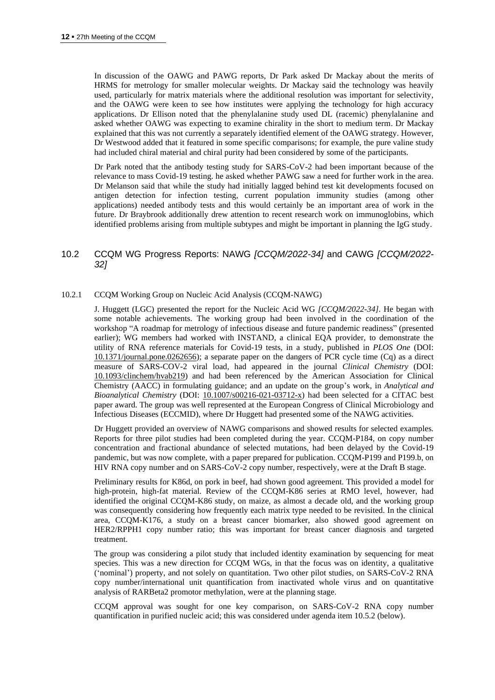In discussion of the OAWG and PAWG reports, Dr Park asked Dr Mackay about the merits of HRMS for metrology for smaller molecular weights. Dr Mackay said the technology was heavily used, particularly for matrix materials where the additional resolution was important for selectivity, and the OAWG were keen to see how institutes were applying the technology for high accuracy applications. Dr Ellison noted that the phenylalanine study used DL (racemic) phenylalanine and asked whether OAWG was expecting to examine chirality in the short to medium term. Dr Mackay explained that this was not currently a separately identified element of the OAWG strategy. However, Dr Westwood added that it featured in some specific comparisons; for example, the pure valine study had included chiral material and chiral purity had been considered by some of the participants.

Dr Park noted that the antibody testing study for SARS-CoV-2 had been important because of the relevance to mass Covid-19 testing. he asked whether PAWG saw a need for further work in the area. Dr Melanson said that while the study had initially lagged behind test kit developments focused on antigen detection for infection testing, current population immunity studies (among other applications) needed antibody tests and this would certainly be an important area of work in the future. Dr Braybrook additionally drew attention to recent research work on immunoglobins, which identified problems arising from multiple subtypes and might be important in planning the IgG study.

## 10.2 CCQM WG Progress Reports: NAWG *[CCQM/2022-34]* and CAWG *[CCQM/2022- 32]*

#### 10.2.1 CCQM Working Group on Nucleic Acid Analysis (CCQM-NAWG)

J. Huggett (LGC) presented the report for the Nucleic Acid WG *[CCQM/2022-34]*. He began with some notable achievements. The working group had been involved in the coordination of the workshop "A roadmap for metrology of infectious disease and future pandemic readiness" (presented earlier); WG members had worked with INSTAND, a clinical EQA provider, to demonstrate the utility of RNA reference materials for Covid-19 tests, in a study, published in *PLOS One* (DOI: [10.1371/journal.pone.0262656\)](https://doi.org/10.1371/journal.pone.0262656); a separate paper on the dangers of PCR cycle time (Cq) as a direct measure of SARS-COV-2 viral load, had appeared in the journal *Clinical Chemistry* (DOI: [10.1093/clinchem/hvab219\)](https://doi.org/10.1093/clinchem/hvab219) and had been referenced by the American Association for Clinical Chemistry (AACC) in formulating guidance; and an update on the group's work, in *Analytical and Bioanalytical Chemistry* (DOI: [10.1007/s00216-021-03712-x\)](https://doi.org/10.1007/s00216-021-03712-x) had been selected for a CITAC best paper award. The group was well represented at the European Congress of Clinical Microbiology and Infectious Diseases (ECCMID), where Dr Huggett had presented some of the NAWG activities.

Dr Huggett provided an overview of NAWG comparisons and showed results for selected examples. Reports for three pilot studies had been completed during the year. CCQM-P184, on copy number concentration and fractional abundance of selected mutations, had been delayed by the Covid-19 pandemic, but was now complete, with a paper prepared for publication. CCQM-P199 and P199.b, on HIV RNA copy number and on SARS-CoV-2 copy number, respectively, were at the Draft B stage.

Preliminary results for K86d, on pork in beef, had shown good agreement. This provided a model for high-protein, high-fat material. Review of the CCQM-K86 series at RMO level, however, had identified the original CCQM-K86 study, on maize, as almost a decade old, and the working group was consequently considering how frequently each matrix type needed to be revisited. In the clinical area, CCQM-K176, a study on a breast cancer biomarker, also showed good agreement on HER2/RPPH1 copy number ratio; this was important for breast cancer diagnosis and targeted treatment.

The group was considering a pilot study that included identity examination by sequencing for meat species. This was a new direction for CCQM WGs, in that the focus was on identity, a qualitative ('nominal') property, and not solely on quantitation. Two other pilot studies, on SARS-CoV-2 RNA copy number/international unit quantification from inactivated whole virus and on quantitative analysis of RARBeta2 promotor methylation, were at the planning stage.

CCQM approval was sought for one key comparison, on SARS-CoV-2 RNA copy number quantification in purified nucleic acid; this was considered under agenda item 10.5.2 (below).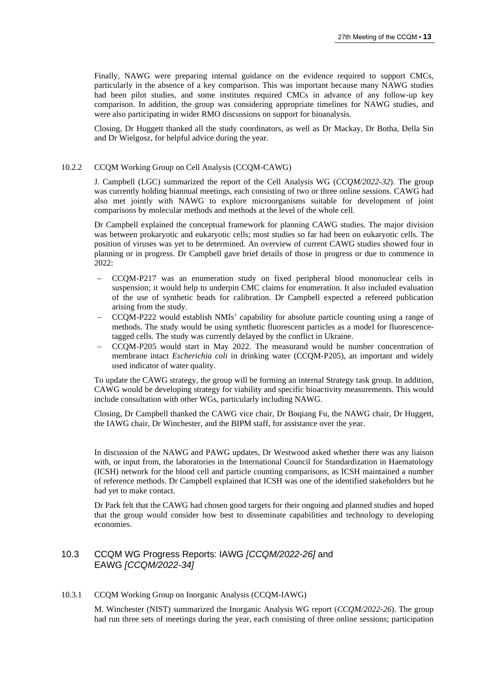Finally, NAWG were preparing internal guidance on the evidence required to support CMCs, particularly in the absence of a key comparison. This was important because many NAWG studies had been pilot studies, and some institutes required CMCs in advance of any follow-up key comparison. In addition, the group was considering appropriate timelines for NAWG studies, and were also participating in wider RMO discussions on support for bioanalysis.

Closing, Dr Huggett thanked all the study coordinators, as well as Dr Mackay, Dr Botha, Della Sin and Dr Wielgosz, for helpful advice during the year.

#### 10.2.2 CCQM Working Group on Cell Analysis (CCQM-CAWG)

J. Campbell (LGC) summarized the report of the Cell Analysis WG (*CCQM/2022-32*). The group was currently holding biannual meetings, each consisting of two or three online sessions. CAWG had also met jointly with NAWG to explore microorganisms suitable for development of joint comparisons by molecular methods and methods at the level of the whole cell.

Dr Campbell explained the conceptual framework for planning CAWG studies. The major division was between prokaryotic and eukaryotic cells; most studies so far had been on eukaryotic cells. The position of viruses was yet to be determined. An overview of current CAWG studies showed four in planning or in progress. Dr Campbell gave brief details of those in progress or due to commence in 2022:

- − CCQM-P217 was an enumeration study on fixed peripheral blood mononuclear cells in suspension; it would help to underpin CMC claims for enumeration. It also included evaluation of the use of synthetic beads for calibration. Dr Campbell expected a refereed publication arising from the study.
- − CCQM-P222 would establish NMIs' capability for absolute particle counting using a range of methods. The study would be using synthetic fluorescent particles as a model for fluorescencetagged cells. The study was currently delayed by the conflict in Ukraine.
- − CCQM-P205 would start in May 2022. The measurand would be number concentration of membrane intact *Escherichia coli* in drinking water (CCQM-P205), an important and widely used indicator of water quality.

To update the CAWG strategy, the group will be forming an internal Strategy task group. In addition, CAWG would be developing strategy for viability and specific bioactivity measurements. This would include consultation with other WGs, particularly including NAWG.

Closing, Dr Campbell thanked the CAWG vice chair, Dr Boqiang Fu, the NAWG chair, Dr Huggett, the IAWG chair, Dr Winchester, and the BIPM staff, for assistance over the year.

In discussion of the NAWG and PAWG updates, Dr Westwood asked whether there was any liaison with, or input from, the laboratories in the International Council for Standardization in Haematology (ICSH) network for the blood cell and particle counting comparisons, as ICSH maintained a number of reference methods. Dr Campbell explained that ICSH was one of the identified stakeholders but he had yet to make contact.

Dr Park felt that the CAWG had chosen good targets for their ongoing and planned studies and hoped that the group would consider how best to disseminate capabilities and technology to developing economies.

## 10.3 CCQM WG Progress Reports: IAWG *[CCQM/2022-26]* and EAWG *[CCQM/2022-34]*

#### 10.3.1 CCQM Working Group on Inorganic Analysis (CCQM-IAWG)

M. Winchester (NIST) summarized the Inorganic Analysis WG report (*CCQM/2022-26*). The group had run three sets of meetings during the year, each consisting of three online sessions; participation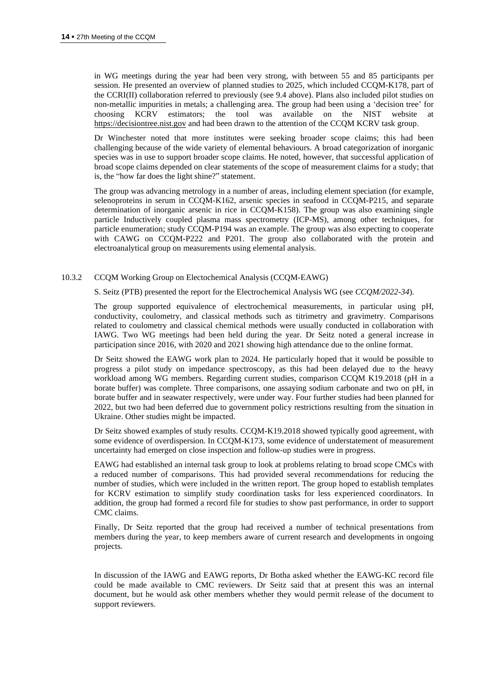in WG meetings during the year had been very strong, with between 55 and 85 participants per session. He presented an overview of planned studies to 2025, which included CCQM-K178, part of the CCRI(II) collaboration referred to previously (see [9.4](#page-9-0) above). Plans also included pilot studies on non-metallic impurities in metals; a challenging area. The group had been using a 'decision tree' for choosing KCRV estimators; the tool was available on the NIST website [https://decisiontree.nist.gov](https://decisiontree.nist.gov/) and had been drawn to the attention of the CCQM KCRV task group.

Dr Winchester noted that more institutes were seeking broader scope claims; this had been challenging because of the wide variety of elemental behaviours. A broad categorization of inorganic species was in use to support broader scope claims. He noted, however, that successful application of broad scope claims depended on clear statements of the scope of measurement claims for a study; that is, the "how far does the light shine?" statement.

The group was advancing metrology in a number of areas, including element speciation (for example, selenoproteins in serum in CCQM-K162, arsenic species in seafood in CCQM-P215, and separate determination of inorganic arsenic in rice in CCQM-K158). The group was also examining single particle Inductively coupled plasma mass spectrometry (ICP-MS), among other techniques, for particle enumeration; study CCQM-P194 was an example. The group was also expecting to cooperate with CAWG on CCQM-P222 and P201. The group also collaborated with the protein and electroanalytical group on measurements using elemental analysis.

#### 10.3.2 CCQM Working Group on Electochemical Analysis (CCQM-EAWG)

S. Seitz (PTB) presented the report for the Electrochemical Analysis WG (see *CCQM/2022-34*).

The group supported equivalence of electrochemical measurements, in particular using pH, conductivity, coulometry, and classical methods such as titrimetry and gravimetry. Comparisons related to coulometry and classical chemical methods were usually conducted in collaboration with IAWG. Two WG meetings had been held during the year. Dr Seitz noted a general increase in participation since 2016, with 2020 and 2021 showing high attendance due to the online format.

Dr Seitz showed the EAWG work plan to 2024. He particularly hoped that it would be possible to progress a pilot study on impedance spectroscopy, as this had been delayed due to the heavy workload among WG members. Regarding current studies, comparison CCQM K19.2018 (pH in a borate buffer) was complete. Three comparisons, one assaying sodium carbonate and two on pH, in borate buffer and in seawater respectively, were under way. Four further studies had been planned for 2022, but two had been deferred due to government policy restrictions resulting from the situation in Ukraine. Other studies might be impacted.

Dr Seitz showed examples of study results. CCQM-K19.2018 showed typically good agreement, with some evidence of overdispersion. In CCQM-K173, some evidence of understatement of measurement uncertainty had emerged on close inspection and follow-up studies were in progress.

EAWG had established an internal task group to look at problems relating to broad scope CMCs with a reduced number of comparisons. This had provided several recommendations for reducing the number of studies, which were included in the written report. The group hoped to establish templates for KCRV estimation to simplify study coordination tasks for less experienced coordinators. In addition, the group had formed a record file for studies to show past performance, in order to support CMC claims.

Finally, Dr Seitz reported that the group had received a number of technical presentations from members during the year, to keep members aware of current research and developments in ongoing projects.

In discussion of the IAWG and EAWG reports, Dr Botha asked whether the EAWG-KC record file could be made available to CMC reviewers. Dr Seitz said that at present this was an internal document, but he would ask other members whether they would permit release of the document to support reviewers.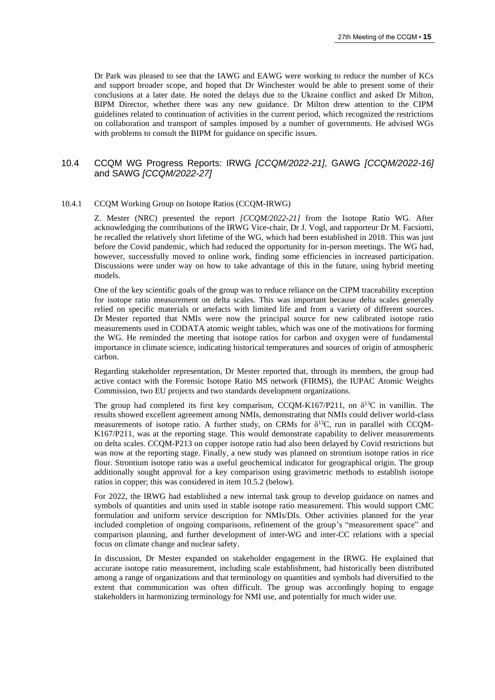Dr Park was pleased to see that the IAWG and EAWG were working to reduce the number of KCs and support broader scope, and hoped that Dr Winchester would be able to present some of their conclusions at a later date. He noted the delays due to the Ukraine conflict and asked Dr Milton, BIPM Director, whether there was any new guidance. Dr Milton drew attention to the CIPM guidelines related to continuation of activities in the current period, which recognized the restrictions on collaboration and transport of samples imposed by a number of governments. He advised WGs with problems to consult the BIPM for guidance on specific issues.

## 10.4 CCQM WG Progress Reports: IRWG *[CCQM/2022-21]*, GAWG *[CCQM/2022-16]* and SAWG *[CCQM/2022-27]*

#### 10.4.1 CCQM Working Group on Isotope Ratios (CCQM-IRWG)

Z. Mester (NRC) presented the report *[CCQM/2022-21]* from the Isotope Ratio WG. After acknowledging the contributions of the IRWG Vice-chair, Dr J. Vogl, and rapporteur Dr M. Facsiotti, he recalled the relatively short lifetime of the WG, which had been established in 2018. This was just before the Covid pandemic, which had reduced the opportunity for in-person meetings. The WG had, however, successfully moved to online work, finding some efficiencies in increased participation. Discussions were under way on how to take advantage of this in the future, using hybrid meeting models.

One of the key scientific goals of the group was to reduce reliance on the CIPM traceability exception for isotope ratio measurement on delta scales. This was important because delta scales generally relied on specific materials or artefacts with limited life and from a variety of different sources. Dr Mester reported that NMIs were now the principal source for new calibrated isotope ratio measurements used in CODATA atomic weight tables, which was one of the motivations for forming the WG. He reminded the meeting that isotope ratios for carbon and oxygen were of fundamental importance in climate science, indicating historical temperatures and sources of origin of atmospheric carbon.

Regarding stakeholder representation, Dr Mester reported that, through its members, the group had active contact with the Forensic Isotope Ratio MS network (FIRMS), the IUPAC Atomic Weights Commission, two EU projects and two standards development organizations.

The group had completed its first key comparison, CCQM-K167/P211, on  $\delta^{13}C$  in vanillin. The results showed excellent agreement among NMIs, demonstrating that NMIs could deliver world-class measurements of isotope ratio. A further study, on CRMs for  $\delta^{13}C$ , run in parallel with CCQM-K167/P211, was at the reporting stage. This would demonstrate capability to deliver measurements on delta scales. CCQM-P213 on copper isotope ratio had also been delayed by Covid restrictions but was now at the reporting stage. Finally, a new study was planned on strontium isotope ratios in rice flour. Strontium isotope ratio was a useful geochemical indicator for geographical origin. The group additionally sought approval for a key comparison using gravimetric methods to establish isotope ratios in copper; this was considered in item [10.5.2](#page-16-0) (below).

For 2022, the IRWG had established a new internal task group to develop guidance on names and symbols of quantities and units used in stable isotope ratio measurement. This would support CMC formulation and uniform service description for NMIs/DIs. Other activities planned for the year included completion of ongoing comparisons, refinement of the group's "measurement space" and comparison planning, and further development of inter-WG and inter-CC relations with a special focus on climate change and nuclear safety.

In discussion, Dr Mester expanded on stakeholder engagement in the IRWG. He explained that accurate isotope ratio measurement, including scale establishment, had historically been distributed among a range of organizations and that terminology on quantities and symbols had diversified to the extent that communication was often difficult. The group was accordingly hoping to engage stakeholders in harmonizing terminology for NMI use, and potentially for much wider use.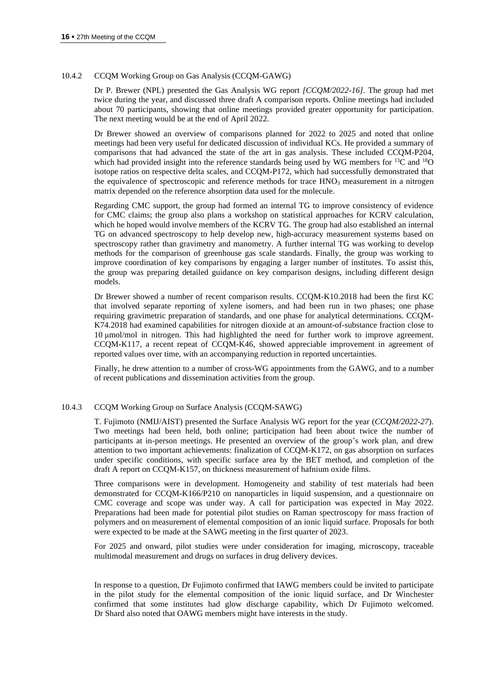#### 10.4.2 CCQM Working Group on Gas Analysis (CCQM-GAWG)

Dr P. Brewer (NPL) presented the Gas Analysis WG report *[CCQM/2022-16]*. The group had met twice during the year, and discussed three draft A comparison reports. Online meetings had included about 70 participants, showing that online meetings provided greater opportunity for participation. The next meeting would be at the end of April 2022.

Dr Brewer showed an overview of comparisons planned for 2022 to 2025 and noted that online meetings had been very useful for dedicated discussion of individual KCs. He provided a summary of comparisons that had advanced the state of the art in gas analysis. These included CCQM-P204, which had provided insight into the reference standards being used by WG members for  $^{13}C$  and  $^{18}O$ isotope ratios on respective delta scales, and CCQM-P172, which had successfully demonstrated that the equivalence of spectroscopic and reference methods for trace HNO<sub>3</sub> measurement in a nitrogen matrix depended on the reference absorption data used for the molecule.

Regarding CMC support, the group had formed an internal TG to improve consistency of evidence for CMC claims; the group also plans a workshop on statistical approaches for KCRV calculation, which he hoped would involve members of the KCRV TG. The group had also established an internal TG on advanced spectroscopy to help develop new, high-accuracy measurement systems based on spectroscopy rather than gravimetry and manometry. A further internal TG was working to develop methods for the comparison of greenhouse gas scale standards. Finally, the group was working to improve coordination of key comparisons by engaging a larger number of institutes. To assist this, the group was preparing detailed guidance on key comparison designs, including different design models.

Dr Brewer showed a number of recent comparison results. CCQM-K10.2018 had been the first KC that involved separate reporting of xylene isomers, and had been run in two phases; one phase requiring gravimetric preparation of standards, and one phase for analytical determinations. CCQM-K74.2018 had examined capabilities for nitrogen dioxide at an amount-of-substance fraction close to 10 μmol/mol in nitrogen. This had highlighted the need for further work to improve agreement. CCQM-K117, a recent repeat of CCQM-K46, showed appreciable improvement in agreement of reported values over time, with an accompanying reduction in reported uncertainties.

Finally, he drew attention to a number of cross-WG appointments from the GAWG, and to a number of recent publications and dissemination activities from the group.

#### 10.4.3 CCQM Working Group on Surface Analysis (CCQM-SAWG)

T. Fujimoto (NMIJ/AIST) presented the Surface Analysis WG report for the year (*CCQM/2022-27*). Two meetings had been held, both online; participation had been about twice the number of participants at in-person meetings. He presented an overview of the group's work plan, and drew attention to two important achievements: finalization of CCQM-K172, on gas absorption on surfaces under specific conditions, with specific surface area by the BET method, and completion of the draft A report on CCQM-K157, on thickness measurement of hafnium oxide films.

Three comparisons were in development. Homogeneity and stability of test materials had been demonstrated for CCQM-K166/P210 on nanoparticles in liquid suspension, and a questionnaire on CMC coverage and scope was under way. A call for participation was expected in May 2022. Preparations had been made for potential pilot studies on Raman spectroscopy for mass fraction of polymers and on measurement of elemental composition of an ionic liquid surface. Proposals for both were expected to be made at the SAWG meeting in the first quarter of 2023.

For 2025 and onward, pilot studies were under consideration for imaging, microscopy, traceable multimodal measurement and drugs on surfaces in drug delivery devices.

In response to a question, Dr Fujimoto confirmed that IAWG members could be invited to participate in the pilot study for the elemental composition of the ionic liquid surface, and Dr Winchester confirmed that some institutes had glow discharge capability, which Dr Fujimoto welcomed. Dr Shard also noted that OAWG members might have interests in the study.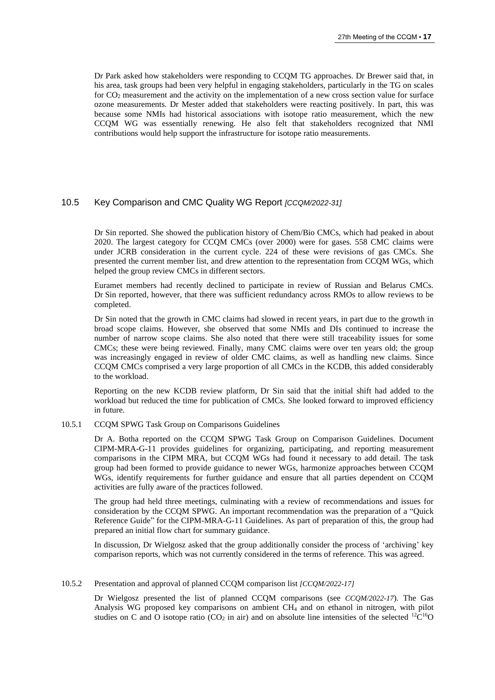Dr Park asked how stakeholders were responding to CCQM TG approaches. Dr Brewer said that, in his area, task groups had been very helpful in engaging stakeholders, particularly in the TG on scales for CO<sup>2</sup> measurement and the activity on the implementation of a new cross section value for surface ozone measurements. Dr Mester added that stakeholders were reacting positively. In part, this was because some NMIs had historical associations with isotope ratio measurement, which the new CCQM WG was essentially renewing. He also felt that stakeholders recognized that NMI contributions would help support the infrastructure for isotope ratio measurements.

#### 10.5 Key Comparison and CMC Quality WG Report *[CCQM/2022-31]*

Dr Sin reported. She showed the publication history of Chem/Bio CMCs, which had peaked in about 2020. The largest category for CCQM CMCs (over 2000) were for gases. 558 CMC claims were under JCRB consideration in the current cycle. 224 of these were revisions of gas CMCs. She presented the current member list, and drew attention to the representation from CCQM WGs, which helped the group review CMCs in different sectors.

Euramet members had recently declined to participate in review of Russian and Belarus CMCs. Dr Sin reported, however, that there was sufficient redundancy across RMOs to allow reviews to be completed.

Dr Sin noted that the growth in CMC claims had slowed in recent years, in part due to the growth in broad scope claims. However, she observed that some NMIs and DIs continued to increase the number of narrow scope claims. She also noted that there were still traceability issues for some CMCs; these were being reviewed. Finally, many CMC claims were over ten years old; the group was increasingly engaged in review of older CMC claims, as well as handling new claims. Since CCQM CMCs comprised a very large proportion of all CMCs in the KCDB, this added considerably to the workload.

Reporting on the new KCDB review platform, Dr Sin said that the initial shift had added to the workload but reduced the time for publication of CMCs. She looked forward to improved efficiency in future.

#### 10.5.1 CCQM SPWG Task Group on Comparisons Guidelines

Dr A. Botha reported on the CCQM SPWG Task Group on Comparison Guidelines. Document CIPM-MRA-G-11 provides guidelines for organizing, participating, and reporting measurement comparisons in the CIPM MRA, but CCQM WGs had found it necessary to add detail. The task group had been formed to provide guidance to newer WGs, harmonize approaches between CCQM WGs, identify requirements for further guidance and ensure that all parties dependent on CCQM activities are fully aware of the practices followed.

The group had held three meetings, culminating with a review of recommendations and issues for consideration by the CCQM SPWG. An important recommendation was the preparation of a "Quick Reference Guide" for the CIPM-MRA-G-11 Guidelines. As part of preparation of this, the group had prepared an initial flow chart for summary guidance.

In discussion, Dr Wielgosz asked that the group additionally consider the process of 'archiving' key comparison reports, which was not currently considered in the terms of reference. This was agreed.

#### 10.5.2 Presentation and approval of planned CCQM comparison list *[CCQM/2022-17]*

<span id="page-16-0"></span>Dr Wielgosz presented the list of planned CCQM comparisons (see *CCQM/2022-17*). The Gas Analysis WG proposed key comparisons on ambient CH<sup>4</sup> and on ethanol in nitrogen, with pilot studies on C and O isotope ratio (CO<sub>2</sub> in air) and on absolute line intensities of the selected <sup>12</sup>C<sup>16</sup>O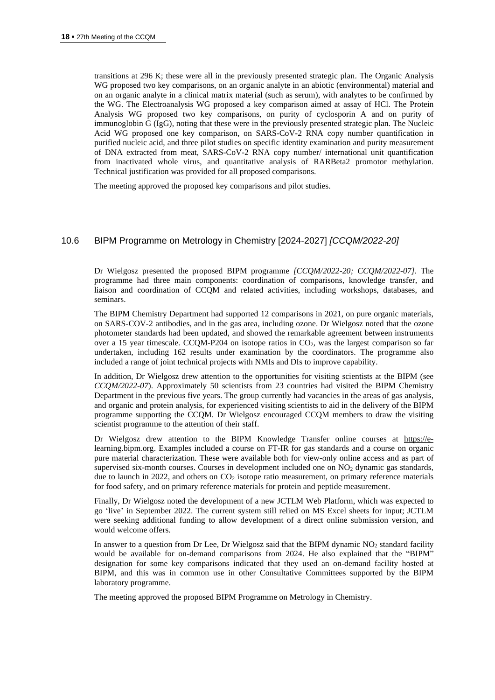transitions at 296 K; these were all in the previously presented strategic plan. The Organic Analysis WG proposed two key comparisons, on an organic analyte in an abiotic (environmental) material and on an organic analyte in a clinical matrix material (such as serum), with analytes to be confirmed by the WG. The Electroanalysis WG proposed a key comparison aimed at assay of HCl. The Protein Analysis WG proposed two key comparisons, on purity of cyclosporin A and on purity of immunoglobin G (IgG), noting that these were in the previously presented strategic plan. The Nucleic Acid WG proposed one key comparison, on SARS-CoV-2 RNA copy number quantification in purified nucleic acid, and three pilot studies on specific identity examination and purity measurement of DNA extracted from meat, SARS-CoV-2 RNA copy number/ international unit quantification from inactivated whole virus, and quantitative analysis of RARBeta2 promotor methylation. Technical justification was provided for all proposed comparisons.

The meeting approved the proposed key comparisons and pilot studies.

## 10.6 BIPM Programme on Metrology in Chemistry [2024-2027] *[CCQM/2022-20]*

Dr Wielgosz presented the proposed BIPM programme *[CCQM/2022-20; CCQM/2022-07]*. The programme had three main components: coordination of comparisons, knowledge transfer, and liaison and coordination of CCQM and related activities, including workshops, databases, and seminars.

The BIPM Chemistry Department had supported 12 comparisons in 2021, on pure organic materials, on SARS-COV-2 antibodies, and in the gas area, including ozone. Dr Wielgosz noted that the ozone photometer standards had been updated, and showed the remarkable agreement between instruments over a 15 year timescale. CCOM-P204 on isotope ratios in  $CO<sub>2</sub>$ , was the largest comparison so far undertaken, including 162 results under examination by the coordinators. The programme also included a range of joint technical projects with NMIs and DIs to improve capability.

In addition, Dr Wielgosz drew attention to the opportunities for visiting scientists at the BIPM (see *CCQM/2022-07*). Approximately 50 scientists from 23 countries had visited the BIPM Chemistry Department in the previous five years. The group currently had vacancies in the areas of gas analysis, and organic and protein analysis, for experienced visiting scientists to aid in the delivery of the BIPM programme supporting the CCQM. Dr Wielgosz encouraged CCQM members to draw the visiting scientist programme to the attention of their staff.

Dr Wielgosz drew attention to the BIPM Knowledge Transfer online courses at [https://e](https://e-learning.bipm.org/)[learning.bipm.org.](https://e-learning.bipm.org/) Examples included a course on FT-IR for gas standards and a course on organic pure material characterization. These were available both for view-only online access and as part of supervised six-month courses. Courses in development included one on NO<sub>2</sub> dynamic gas standards, due to launch in 2022, and others on  $CO<sub>2</sub>$  isotope ratio measurement, on primary reference materials for food safety, and on primary reference materials for protein and peptide measurement.

Finally, Dr Wielgosz noted the development of a new JCTLM Web Platform, which was expected to go 'live' in September 2022. The current system still relied on MS Excel sheets for input; JCTLM were seeking additional funding to allow development of a direct online submission version, and would welcome offers.

In answer to a question from Dr Lee, Dr Wielgosz said that the BIPM dynamic NO<sub>2</sub> standard facility would be available for on-demand comparisons from 2024. He also explained that the "BIPM" designation for some key comparisons indicated that they used an on-demand facility hosted at BIPM, and this was in common use in other Consultative Committees supported by the BIPM laboratory programme.

The meeting approved the proposed BIPM Programme on Metrology in Chemistry.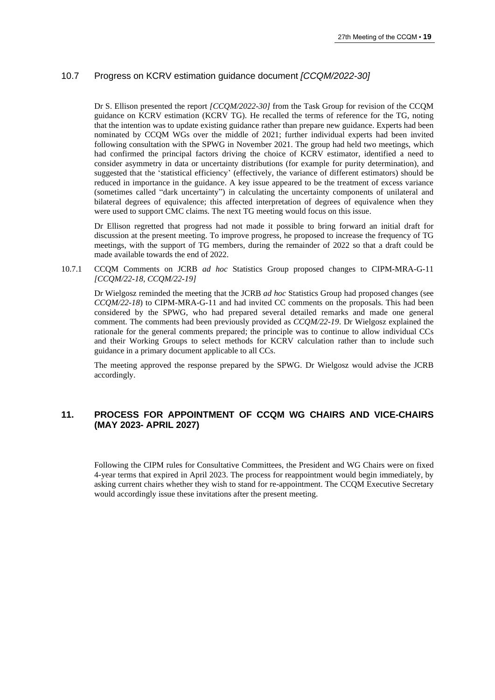## 10.7 Progress on KCRV estimation guidance document *[CCQM/2022-30]*

Dr S. Ellison presented the report *[CCQM/2022-30]* from the Task Group for revision of the CCQM guidance on KCRV estimation (KCRV TG). He recalled the terms of reference for the TG, noting that the intention was to update existing guidance rather than prepare new guidance. Experts had been nominated by CCQM WGs over the middle of 2021; further individual experts had been invited following consultation with the SPWG in November 2021. The group had held two meetings, which had confirmed the principal factors driving the choice of KCRV estimator, identified a need to consider asymmetry in data or uncertainty distributions (for example for purity determination), and suggested that the 'statistical efficiency' (effectively, the variance of different estimators) should be reduced in importance in the guidance. A key issue appeared to be the treatment of excess variance (sometimes called "dark uncertainty") in calculating the uncertainty components of unilateral and bilateral degrees of equivalence; this affected interpretation of degrees of equivalence when they were used to support CMC claims. The next TG meeting would focus on this issue.

Dr Ellison regretted that progress had not made it possible to bring forward an initial draft for discussion at the present meeting. To improve progress, he proposed to increase the frequency of TG meetings, with the support of TG members, during the remainder of 2022 so that a draft could be made available towards the end of 2022.

10.7.1 CCQM Comments on JCRB *ad hoc* Statistics Group proposed changes to CIPM-MRA-G-11 *[CCQM/22-18, CCQM/22-19]*

Dr Wielgosz reminded the meeting that the JCRB *ad hoc* Statistics Group had proposed changes (see *CCQM/22-18*) to CIPM-MRA-G-11 and had invited CC comments on the proposals. This had been considered by the SPWG, who had prepared several detailed remarks and made one general comment. The comments had been previously provided as *CCQM/22-19*. Dr Wielgosz explained the rationale for the general comments prepared; the principle was to continue to allow individual CCs and their Working Groups to select methods for KCRV calculation rather than to include such guidance in a primary document applicable to all CCs.

The meeting approved the response prepared by the SPWG. Dr Wielgosz would advise the JCRB accordingly.

# **11. PROCESS FOR APPOINTMENT OF CCQM WG CHAIRS AND VICE-CHAIRS (MAY 2023- APRIL 2027)**

Following the CIPM rules for Consultative Committees, the President and WG Chairs were on fixed 4-year terms that expired in April 2023. The process for reappointment would begin immediately, by asking current chairs whether they wish to stand for re-appointment. The CCQM Executive Secretary would accordingly issue these invitations after the present meeting.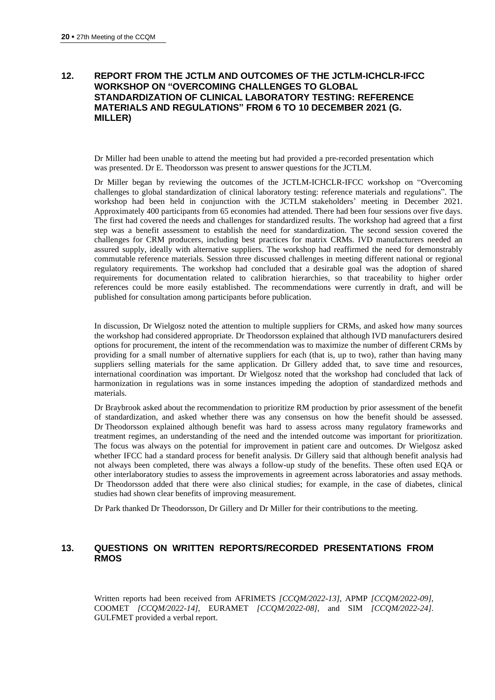## **12. REPORT FROM THE JCTLM AND OUTCOMES OF THE JCTLM-ICHCLR-IFCC WORKSHOP ON "OVERCOMING CHALLENGES TO GLOBAL STANDARDIZATION OF CLINICAL LABORATORY TESTING: REFERENCE MATERIALS AND REGULATIONS" FROM 6 TO 10 DECEMBER 2021 (G. MILLER)**

Dr Miller had been unable to attend the meeting but had provided a pre-recorded presentation which was presented. Dr E. Theodorsson was present to answer questions for the JCTLM.

Dr Miller began by reviewing the outcomes of the JCTLM-ICHCLR-IFCC workshop on "Overcoming challenges to global standardization of clinical laboratory testing: reference materials and regulations". The workshop had been held in conjunction with the JCTLM stakeholders' meeting in December 2021. Approximately 400 participants from 65 economies had attended. There had been four sessions over five days. The first had covered the needs and challenges for standardized results. The workshop had agreed that a first step was a benefit assessment to establish the need for standardization. The second session covered the challenges for CRM producers, including best practices for matrix CRMs. IVD manufacturers needed an assured supply, ideally with alternative suppliers. The workshop had reaffirmed the need for demonstrably commutable reference materials. Session three discussed challenges in meeting different national or regional regulatory requirements. The workshop had concluded that a desirable goal was the adoption of shared requirements for documentation related to calibration hierarchies, so that traceability to higher order references could be more easily established. The recommendations were currently in draft, and will be published for consultation among participants before publication.

In discussion, Dr Wielgosz noted the attention to multiple suppliers for CRMs, and asked how many sources the workshop had considered appropriate. Dr Theodorsson explained that although IVD manufacturers desired options for procurement, the intent of the recommendation was to maximize the number of different CRMs by providing for a small number of alternative suppliers for each (that is, up to two), rather than having many suppliers selling materials for the same application. Dr Gillery added that, to save time and resources, international coordination was important. Dr Wielgosz noted that the workshop had concluded that lack of harmonization in regulations was in some instances impeding the adoption of standardized methods and materials.

Dr Braybrook asked about the recommendation to prioritize RM production by prior assessment of the benefit of standardization, and asked whether there was any consensus on how the benefit should be assessed. Dr Theodorsson explained although benefit was hard to assess across many regulatory frameworks and treatment regimes, an understanding of the need and the intended outcome was important for prioritization. The focus was always on the potential for improvement in patient care and outcomes. Dr Wielgosz asked whether IFCC had a standard process for benefit analysis. Dr Gillery said that although benefit analysis had not always been completed, there was always a follow-up study of the benefits. These often used EQA or other interlaboratory studies to assess the improvements in agreement across laboratories and assay methods. Dr Theodorsson added that there were also clinical studies; for example, in the case of diabetes, clinical studies had shown clear benefits of improving measurement.

Dr Park thanked Dr Theodorsson, Dr Gillery and Dr Miller for their contributions to the meeting.

## **13. QUESTIONS ON WRITTEN REPORTS/RECORDED PRESENTATIONS FROM RMOS**

Written reports had been received from AFRIMETS *[CCQM/2022-13]*, APMP *[CCQM/2022-09]*, COOMET *[CCQM/2022-14]*, EURAMET *[CCQM/2022-08]*, and SIM *[CCQM/2022-24]*. GULFMET provided a verbal report.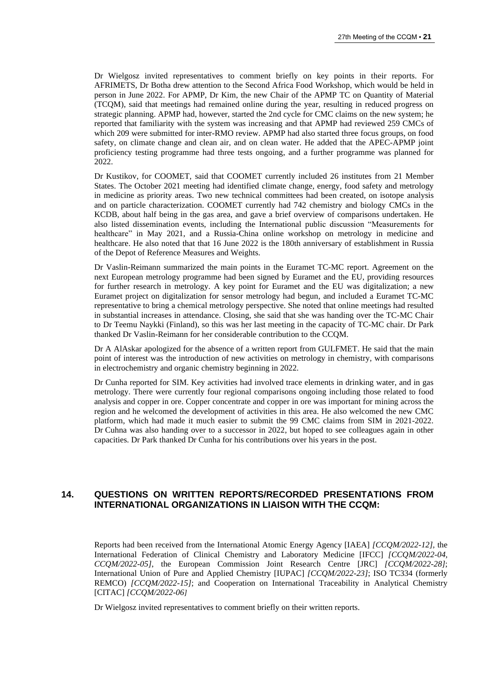Dr Wielgosz invited representatives to comment briefly on key points in their reports. For AFRIMETS, Dr Botha drew attention to the Second Africa Food Workshop, which would be held in person in June 2022. For APMP, Dr Kim, the new Chair of the APMP TC on Quantity of Material (TCQM), said that meetings had remained online during the year, resulting in reduced progress on strategic planning. APMP had, however, started the 2nd cycle for CMC claims on the new system; he reported that familiarity with the system was increasing and that APMP had reviewed 259 CMCs of which 209 were submitted for inter-RMO review. APMP had also started three focus groups, on food safety, on climate change and clean air, and on clean water. He added that the APEC-APMP joint proficiency testing programme had three tests ongoing, and a further programme was planned for 2022.

Dr Kustikov, for COOMET, said that COOMET currently included 26 institutes from 21 Member States. The October 2021 meeting had identified climate change, energy, food safety and metrology in medicine as priority areas. Two new technical committees had been created, on isotope analysis and on particle characterization. COOMET currently had 742 chemistry and biology CMCs in the KCDB, about half being in the gas area, and gave a brief overview of comparisons undertaken. He also listed dissemination events, including the International public discussion "Measurements for healthcare" in May 2021, and a Russia-China online workshop on metrology in medicine and healthcare. He also noted that that 16 June 2022 is the 180th anniversary of establishment in Russia of the Depot of Reference Measures and Weights.

Dr Vaslin-Reimann summarized the main points in the Euramet TC-MC report. Agreement on the next European metrology programme had been signed by Euramet and the EU, providing resources for further research in metrology. A key point for Euramet and the EU was digitalization; a new Euramet project on digitalization for sensor metrology had begun, and included a Euramet TC-MC representative to bring a chemical metrology perspective. She noted that online meetings had resulted in substantial increases in attendance. Closing, she said that she was handing over the TC-MC Chair to Dr Teemu Naykki (Finland), so this was her last meeting in the capacity of TC-MC chair. Dr Park thanked Dr Vaslin-Reimann for her considerable contribution to the CCQM.

Dr A AlAskar apologized for the absence of a written report from GULFMET. He said that the main point of interest was the introduction of new activities on metrology in chemistry, with comparisons in electrochemistry and organic chemistry beginning in 2022.

Dr Cunha reported for SIM. Key activities had involved trace elements in drinking water, and in gas metrology. There were currently four regional comparisons ongoing including those related to food analysis and copper in ore. Copper concentrate and copper in ore was important for mining across the region and he welcomed the development of activities in this area. He also welcomed the new CMC platform, which had made it much easier to submit the 99 CMC claims from SIM in 2021-2022. Dr Cuhna was also handing over to a successor in 2022, but hoped to see colleagues again in other capacities. Dr Park thanked Dr Cunha for his contributions over his years in the post.

## **14. QUESTIONS ON WRITTEN REPORTS/RECORDED PRESENTATIONS FROM INTERNATIONAL ORGANIZATIONS IN LIAISON WITH THE CCQM:**

Reports had been received from the International Atomic Energy Agency [IAEA] *[CCQM/2022-12],* the International Federation of Clinical Chemistry and Laboratory Medicine [IFCC] *[CCQM/2022-04, CCQM/2022-05]*, the European Commission Joint Research Centre [JRC] *[CCQM/2022-28]*; International Union of Pure and Applied Chemistry [IUPAC] *[CCQM/2022-23]*; ISO TC334 (formerly REMCO) *[CCQM/2022-15]*; and Cooperation on International Traceability in Analytical Chemistry [CITAC] *[CCQM/2022-06]*

Dr Wielgosz invited representatives to comment briefly on their written reports.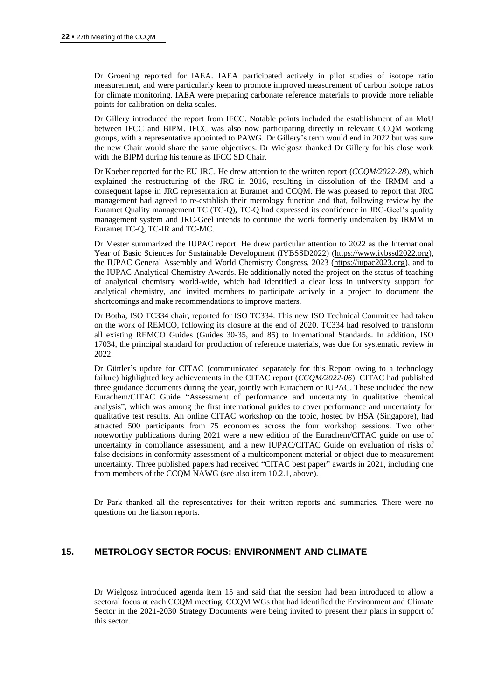Dr Groening reported for IAEA. IAEA participated actively in pilot studies of isotope ratio measurement, and were particularly keen to promote improved measurement of carbon isotope ratios for climate monitoring. IAEA were preparing carbonate reference materials to provide more reliable points for calibration on delta scales.

Dr Gillery introduced the report from IFCC. Notable points included the establishment of an MoU between IFCC and BIPM. IFCC was also now participating directly in relevant CCQM working groups, with a representative appointed to PAWG. Dr Gillery's term would end in 2022 but was sure the new Chair would share the same objectives. Dr Wielgosz thanked Dr Gillery for his close work with the BIPM during his tenure as IFCC SD Chair.

Dr Koeber reported for the EU JRC. He drew attention to the written report (*CCQM/2022-28*), which explained the restructuring of the JRC in 2016, resulting in dissolution of the IRMM and a consequent lapse in JRC representation at Euramet and CCQM. He was pleased to report that JRC management had agreed to re-establish their metrology function and that, following review by the Euramet Quality management TC (TC-Q), TC-Q had expressed its confidence in JRC-Geel's quality management system and JRC-Geel intends to continue the work formerly undertaken by IRMM in Euramet TC-Q, TC-IR and TC-MC.

Dr Mester summarized the IUPAC report. He drew particular attention to 2022 as the International Year of Basic Sciences for Sustainable Development (IYBSSD2022) [\(https://www.iybssd2022.org\)](https://www.iybssd2022.org/), the IUPAC General Assembly and World Chemistry Congress, 2023 [\(https://iupac2023.org\)](https://iupac2023.org/), and to the IUPAC Analytical Chemistry Awards. He additionally noted the project on the status of teaching of analytical chemistry world-wide, which had identified a clear loss in university support for analytical chemistry, and invited members to participate actively in a project to document the shortcomings and make recommendations to improve matters.

Dr Botha, ISO TC334 chair, reported for ISO TC334. This new ISO Technical Committee had taken on the work of REMCO, following its closure at the end of 2020. TC334 had resolved to transform all existing REMCO Guides (Guides 30-35, and 85) to International Standards. In addition, ISO 17034, the principal standard for production of reference materials, was due for systematic review in 2022.

Dr Güttler's update for CITAC (communicated separately for this Report owing to a technology failure) highlighted key achievements in the CITAC report (*CCQM/2022-06*). CITAC had published three guidance documents during the year, jointly with Eurachem or IUPAC. These included the new Eurachem/CITAC Guide "Assessment of performance and uncertainty in qualitative chemical analysis", which was among the first international guides to cover performance and uncertainty for qualitative test results. An online CITAC workshop on the topic, hosted by HSA (Singapore), had attracted 500 participants from 75 economies across the four workshop sessions. Two other noteworthy publications during 2021 were a new edition of the Eurachem/CITAC guide on use of uncertainty in compliance assessment, and a new IUPAC/CITAC Guide on evaluation of risks of false decisions in conformity assessment of a multicomponent material or object due to measurement uncertainty. Three published papers had received "CITAC best paper" awards in 2021, including one from members of the CCQM NAWG (see also item 10.2.1, above).

Dr Park thanked all the representatives for their written reports and summaries. There were no questions on the liaison reports.

## **15. METROLOGY SECTOR FOCUS: ENVIRONMENT AND CLIMATE**

Dr Wielgosz introduced agenda item 15 and said that the session had been introduced to allow a sectoral focus at each CCQM meeting. CCQM WGs that had identified the Environment and Climate Sector in the 2021-2030 Strategy Documents were being invited to present their plans in support of this sector.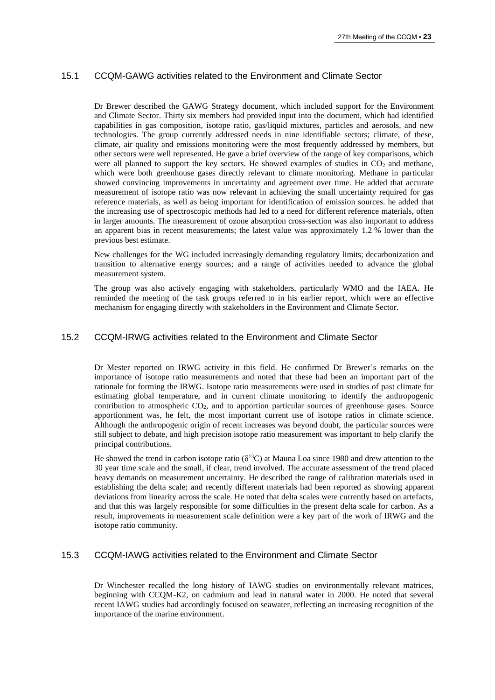## 15.1 CCQM-GAWG activities related to the Environment and Climate Sector

Dr Brewer described the GAWG Strategy document, which included support for the Environment and Climate Sector. Thirty six members had provided input into the document, which had identified capabilities in gas composition, isotope ratio, gas/liquid mixtures, particles and aerosols, and new technologies. The group currently addressed needs in nine identifiable sectors; climate, of these, climate, air quality and emissions monitoring were the most frequently addressed by members, but other sectors were well represented. He gave a brief overview of the range of key comparisons, which were all planned to support the key sectors. He showed examples of studies in  $CO<sub>2</sub>$  and methane, which were both greenhouse gases directly relevant to climate monitoring. Methane in particular showed convincing improvements in uncertainty and agreement over time. He added that accurate measurement of isotope ratio was now relevant in achieving the small uncertainty required for gas reference materials, as well as being important for identification of emission sources. he added that the increasing use of spectroscopic methods had led to a need for different reference materials, often in larger amounts. The measurement of ozone absorption cross-section was also important to address an apparent bias in recent measurements; the latest value was approximately 1.2 % lower than the previous best estimate.

New challenges for the WG included increasingly demanding regulatory limits; decarbonization and transition to alternative energy sources; and a range of activities needed to advance the global measurement system.

The group was also actively engaging with stakeholders, particularly WMO and the IAEA. He reminded the meeting of the task groups referred to in his earlier report, which were an effective mechanism for engaging directly with stakeholders in the Environment and Climate Sector.

#### 15.2 CCQM-IRWG activities related to the Environment and Climate Sector

Dr Mester reported on IRWG activity in this field. He confirmed Dr Brewer's remarks on the importance of isotope ratio measurements and noted that these had been an important part of the rationale for forming the IRWG. Isotope ratio measurements were used in studies of past climate for estimating global temperature, and in current climate monitoring to identify the anthropogenic contribution to atmospheric  $CO<sub>2</sub>$ , and to apportion particular sources of greenhouse gases. Source apportionment was, he felt, the most important current use of isotope ratios in climate science. Although the anthropogenic origin of recent increases was beyond doubt, the particular sources were still subject to debate, and high precision isotope ratio measurement was important to help clarify the principal contributions.

He showed the trend in carbon isotope ratio ( $\delta^{13}$ C) at Mauna Loa since 1980 and drew attention to the 30 year time scale and the small, if clear, trend involved. The accurate assessment of the trend placed heavy demands on measurement uncertainty. He described the range of calibration materials used in establishing the delta scale; and recently different materials had been reported as showing apparent deviations from linearity across the scale. He noted that delta scales were currently based on artefacts, and that this was largely responsible for some difficulties in the present delta scale for carbon. As a result, improvements in measurement scale definition were a key part of the work of IRWG and the isotope ratio community.

## 15.3 CCQM-IAWG activities related to the Environment and Climate Sector

Dr Winchester recalled the long history of IAWG studies on environmentally relevant matrices, beginning with CCQM-K2, on cadmium and lead in natural water in 2000. He noted that several recent IAWG studies had accordingly focused on seawater, reflecting an increasing recognition of the importance of the marine environment.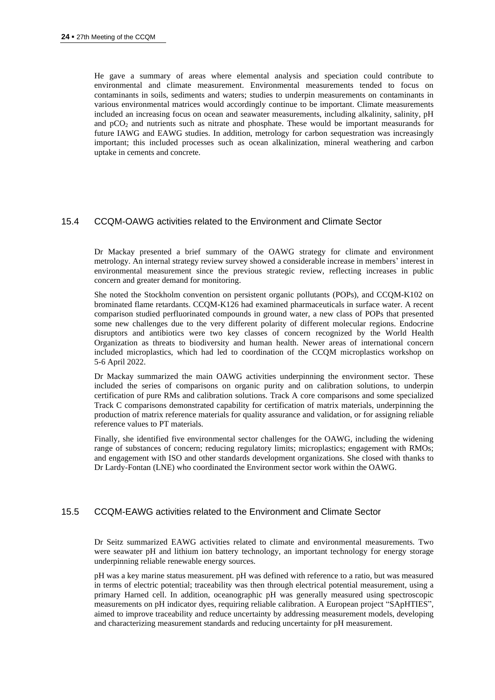He gave a summary of areas where elemental analysis and speciation could contribute to environmental and climate measurement. Environmental measurements tended to focus on contaminants in soils, sediments and waters; studies to underpin measurements on contaminants in various environmental matrices would accordingly continue to be important. Climate measurements included an increasing focus on ocean and seawater measurements, including alkalinity, salinity, pH and pCO<sup>2</sup> and nutrients such as nitrate and phosphate. These would be important measurands for future IAWG and EAWG studies. In addition, metrology for carbon sequestration was increasingly important; this included processes such as ocean alkalinization, mineral weathering and carbon uptake in cements and concrete.

## 15.4 CCQM-OAWG activities related to the Environment and Climate Sector

Dr Mackay presented a brief summary of the OAWG strategy for climate and environment metrology. An internal strategy review survey showed a considerable increase in members' interest in environmental measurement since the previous strategic review, reflecting increases in public concern and greater demand for monitoring.

She noted the Stockholm convention on persistent organic pollutants (POPs), and CCQM-K102 on brominated flame retardants. CCQM-K126 had examined pharmaceuticals in surface water. A recent comparison studied perfluorinated compounds in ground water, a new class of POPs that presented some new challenges due to the very different polarity of different molecular regions. Endocrine disruptors and antibiotics were two key classes of concern recognized by the World Health Organization as threats to biodiversity and human health. Newer areas of international concern included microplastics, which had led to coordination of the CCQM microplastics workshop on 5-6 April 2022.

Dr Mackay summarized the main OAWG activities underpinning the environment sector. These included the series of comparisons on organic purity and on calibration solutions, to underpin certification of pure RMs and calibration solutions. Track A core comparisons and some specialized Track C comparisons demonstrated capability for certification of matrix materials, underpinning the production of matrix reference materials for quality assurance and validation, or for assigning reliable reference values to PT materials.

Finally, she identified five environmental sector challenges for the OAWG, including the widening range of substances of concern; reducing regulatory limits; microplastics; engagement with RMOs; and engagement with ISO and other standards development organizations. She closed with thanks to Dr Lardy-Fontan (LNE) who coordinated the Environment sector work within the OAWG.

#### 15.5 CCQM-EAWG activities related to the Environment and Climate Sector

Dr Seitz summarized EAWG activities related to climate and environmental measurements. Two were seawater pH and lithium ion battery technology, an important technology for energy storage underpinning reliable renewable energy sources.

pH was a key marine status measurement. pH was defined with reference to a ratio, but was measured in terms of electric potential; traceability was then through electrical potential measurement, using a primary Harned cell. In addition, oceanographic pH was generally measured using spectroscopic measurements on pH indicator dyes, requiring reliable calibration. A European project "SApHTIES", aimed to improve traceability and reduce uncertainty by addressing measurement models, developing and characterizing measurement standards and reducing uncertainty for pH measurement.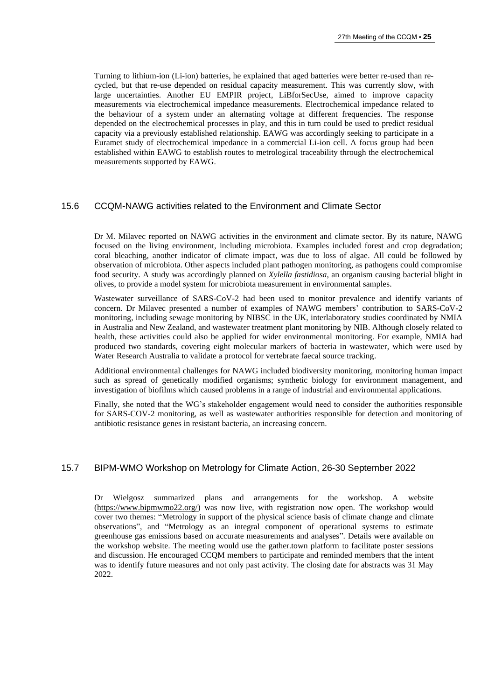Turning to lithium-ion (Li-ion) batteries, he explained that aged batteries were better re-used than recycled, but that re-use depended on residual capacity measurement. This was currently slow, with large uncertainties. Another EU EMPIR project, LiBforSecUse, aimed to improve capacity measurements via electrochemical impedance measurements. Electrochemical impedance related to the behaviour of a system under an alternating voltage at different frequencies. The response depended on the electrochemical processes in play, and this in turn could be used to predict residual capacity via a previously established relationship. EAWG was accordingly seeking to participate in a Euramet study of electrochemical impedance in a commercial Li-ion cell. A focus group had been established within EAWG to establish routes to metrological traceability through the electrochemical measurements supported by EAWG.

# 15.6 CCQM-NAWG activities related to the Environment and Climate Sector

Dr M. Milavec reported on NAWG activities in the environment and climate sector. By its nature, NAWG focused on the living environment, including microbiota. Examples included forest and crop degradation; coral bleaching, another indicator of climate impact, was due to loss of algae. All could be followed by observation of microbiota. Other aspects included plant pathogen monitoring, as pathogens could compromise food security. A study was accordingly planned on *Xylella fastidiosa*, an organism causing bacterial blight in olives, to provide a model system for microbiota measurement in environmental samples.

Wastewater surveillance of SARS-CoV-2 had been used to monitor prevalence and identify variants of concern. Dr Milavec presented a number of examples of NAWG members' contribution to SARS-CoV-2 monitoring, including sewage monitoring by NIBSC in the UK, interlaboratory studies coordinated by NMIA in Australia and New Zealand, and wastewater treatment plant monitoring by NIB. Although closely related to health, these activities could also be applied for wider environmental monitoring. For example, NMIA had produced two standards, covering eight molecular markers of bacteria in wastewater, which were used by Water Research Australia to validate a protocol for vertebrate faecal source tracking.

Additional environmental challenges for NAWG included biodiversity monitoring, monitoring human impact such as spread of genetically modified organisms; synthetic biology for environment management, and investigation of biofilms which caused problems in a range of industrial and environmental applications.

Finally, she noted that the WG's stakeholder engagement would need to consider the authorities responsible for SARS-COV-2 monitoring, as well as wastewater authorities responsible for detection and monitoring of antibiotic resistance genes in resistant bacteria, an increasing concern.

## 15.7 BIPM-WMO Workshop on Metrology for Climate Action, 26-30 September 2022

Dr Wielgosz summarized plans and arrangements for the workshop. A website [\(https://www.bipmwmo22.org/\)](https://www.bipmwmo22.org/) was now live, with registration now open. The workshop would cover two themes: "Metrology in support of the physical science basis of climate change and climate observations", and "Metrology as an integral component of operational systems to estimate greenhouse gas emissions based on accurate measurements and analyses". Details were available on the workshop website. The meeting would use the gather.town platform to facilitate poster sessions and discussion. He encouraged CCQM members to participate and reminded members that the intent was to identify future measures and not only past activity. The closing date for abstracts was 31 May 2022.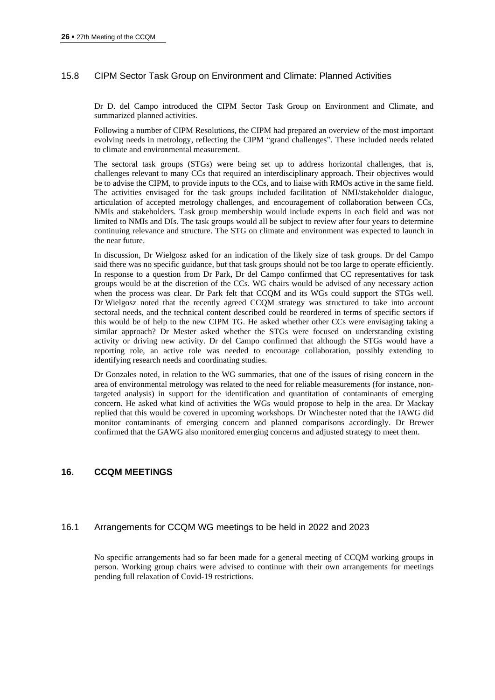# 15.8 CIPM Sector Task Group on Environment and Climate: Planned Activities

Dr D. del Campo introduced the CIPM Sector Task Group on Environment and Climate, and summarized planned activities.

Following a number of CIPM Resolutions, the CIPM had prepared an overview of the most important evolving needs in metrology, reflecting the CIPM "grand challenges". These included needs related to climate and environmental measurement.

The sectoral task groups (STGs) were being set up to address horizontal challenges, that is, challenges relevant to many CCs that required an interdisciplinary approach. Their objectives would be to advise the CIPM, to provide inputs to the CCs, and to liaise with RMOs active in the same field. The activities envisaged for the task groups included facilitation of NMI/stakeholder dialogue, articulation of accepted metrology challenges, and encouragement of collaboration between CCs, NMIs and stakeholders. Task group membership would include experts in each field and was not limited to NMIs and DIs. The task groups would all be subject to review after four years to determine continuing relevance and structure. The STG on climate and environment was expected to launch in the near future.

In discussion, Dr Wielgosz asked for an indication of the likely size of task groups. Dr del Campo said there was no specific guidance, but that task groups should not be too large to operate efficiently. In response to a question from Dr Park, Dr del Campo confirmed that CC representatives for task groups would be at the discretion of the CCs. WG chairs would be advised of any necessary action when the process was clear. Dr Park felt that CCQM and its WGs could support the STGs well. Dr Wielgosz noted that the recently agreed CCQM strategy was structured to take into account sectoral needs, and the technical content described could be reordered in terms of specific sectors if this would be of help to the new CIPM TG. He asked whether other CCs were envisaging taking a similar approach? Dr Mester asked whether the STGs were focused on understanding existing activity or driving new activity. Dr del Campo confirmed that although the STGs would have a reporting role, an active role was needed to encourage collaboration, possibly extending to identifying research needs and coordinating studies.

Dr Gonzales noted, in relation to the WG summaries, that one of the issues of rising concern in the area of environmental metrology was related to the need for reliable measurements (for instance, nontargeted analysis) in support for the identification and quantitation of contaminants of emerging concern. He asked what kind of activities the WGs would propose to help in the area. Dr Mackay replied that this would be covered in upcoming workshops. Dr Winchester noted that the IAWG did monitor contaminants of emerging concern and planned comparisons accordingly. Dr Brewer confirmed that the GAWG also monitored emerging concerns and adjusted strategy to meet them.

## **16. CCQM MEETINGS**

## 16.1 Arrangements for CCQM WG meetings to be held in 2022 and 2023

No specific arrangements had so far been made for a general meeting of CCQM working groups in person. Working group chairs were advised to continue with their own arrangements for meetings pending full relaxation of Covid-19 restrictions.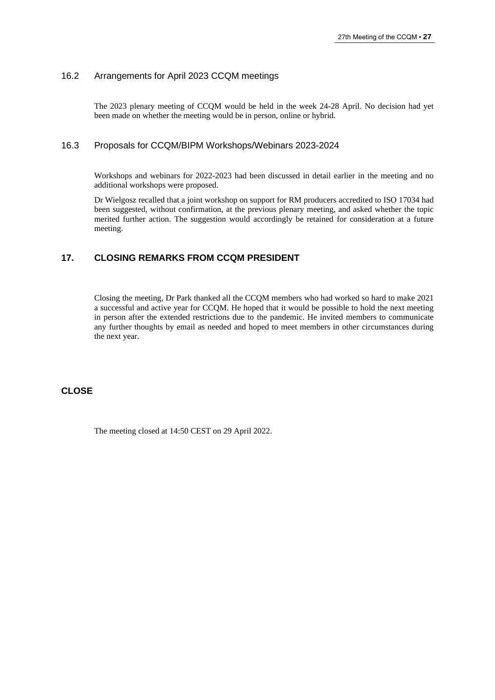# 16.2 Arrangements for April 2023 CCQM meetings

The 2023 plenary meeting of CCQM would be held in the week 24-28 April. No decision had yet been made on whether the meeting would be in person, online or hybrid.

## 16.3 Proposals for CCQM/BIPM Workshops/Webinars 2023-2024

Workshops and webinars for 2022-2023 had been discussed in detail earlier in the meeting and no additional workshops were proposed.

Dr Wielgosz recalled that a joint workshop on support for RM producers accredited to ISO 17034 had been suggested, without confirmation, at the previous plenary meeting, and asked whether the topic merited further action. The suggestion would accordingly be retained for consideration at a future meeting.

## **17. CLOSING REMARKS FROM CCQM PRESIDENT**

Closing the meeting, Dr Park thanked all the CCQM members who had worked so hard to make 2021 a successful and active year for CCQM. He hoped that it would be possible to hold the next meeting in person after the extended restrictions due to the pandemic. He invited members to communicate any further thoughts by email as needed and hoped to meet members in other circumstances during the next year.

## **CLOSE**

The meeting closed at 14:50 CEST on 29 April 2022.